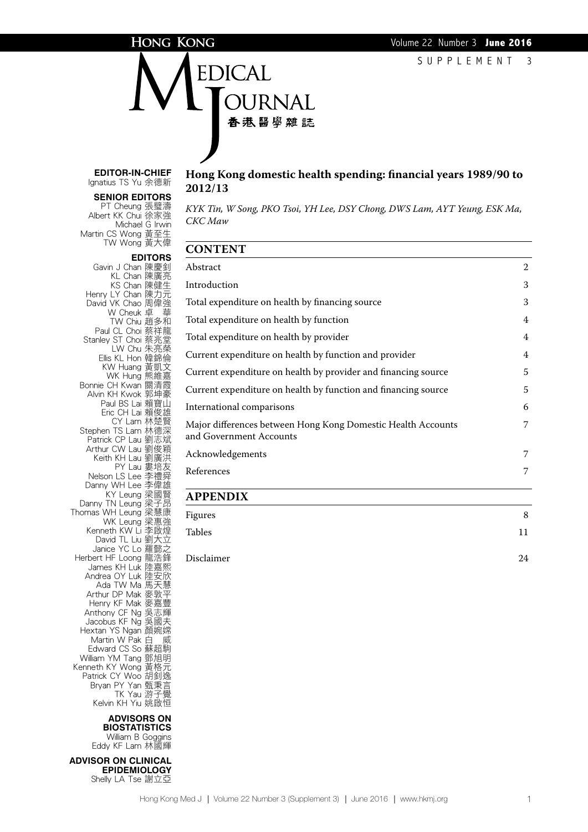### HONG KONG

DICAL 香港醫學雜誌

**Editor-in-Chief** Ignatius TS Yu 余德新

#### **Senior Editors**

PT Cheung 張璧濤 Albert KK Chui 徐家強 Michael G Irwin Martin CS Wong 黃至生 TW Wong 黃大偉

Henry LY Chan 陳力元

### **Hong Kong domestic health spending: financial years 1989/90 to 2012/13**

*KYK Tin, W Song, PKO Tsoi, YH Lee, DSY Chong, DWS Lam, AYT Yeung, ESK Ma, CKC Maw*

| Abstract                                                                                | $\overline{2}$ |
|-----------------------------------------------------------------------------------------|----------------|
| Introduction                                                                            | 3              |
| Total expenditure on health by financing source                                         | 3              |
| Total expenditure on health by function                                                 | $\overline{4}$ |
| Total expenditure on health by provider                                                 | $\overline{4}$ |
| Current expenditure on health by function and provider                                  | $\overline{4}$ |
| Current expenditure on health by provider and financing source                          | 5              |
| Current expenditure on health by function and financing source                          | 5              |
| International comparisons                                                               | 6              |
| Major differences between Hong Kong Domestic Health Accounts<br>and Government Accounts | 7              |
| Acknowledgements                                                                        | 7              |
| References                                                                              | 7              |
|                                                                                         |                |

### **Appendix**

| Figures    | 8  |
|------------|----|
| Tables     | 11 |
| Disclaimer | 24 |

David VK Chao 周偉強 W Cheuk 卓 華 TW Chiu 趙多和 Paul CL Choi 蔡祥龍 Stanley ST Choi 蔡兆堂 LW Chu 朱亮榮 Ellis KL Hon 韓錦倫 KW Huang 黃凱文 WK Hung 熊維嘉 Bonnie CH Kwan 關清霞 Alvin KH Kwok 郭坤豪 Paul BS Lai 賴寶山 Eric CH Lai 賴俊雄 CY Lam 林楚賢 Stephen TS Lam 林德深 Patrick CP Lau 劉志斌 Arthur CW Lau 劉俊穎 Keith KH Lau 劉廣洪 PY Lau 婁培友 Nelson LS Lee 李禮舜 Danny WH Lee 李偉雄 KY Leung 梁國賢 Danny TN Leung 梁子昂 Thomas WH Leung 梁慧康 WK Leung 梁惠強 Kenneth KW Li 李啟煌 <del>J</del>uneur Kyy ニュニー<br>David TL Liu 劉大立 Janice YC Lo 羅懿 Herbert HF Loong 龍浩鋒 James KH Luk 陸嘉熙 Andrea OY Luk 陸安欣 Ada TW Ma 馬天慧 Arthur DP Mak 麥敦平 Henry KF Mak 麥嘉豐 Anthony CF Ng 吳志輝 Jacobus KF Ng 吳國夫 Hextan YS Ngan 顏婉嫦 Martin W Pak 白 威 Edward CS So 蘇超駒 William YM Tang 鄧旭明 Kenneth KY Wong 黃格元 Patrick CY Woo 胡釗逸 **Bryan PY Yan 甄秉言** TK Yau 游子覺 Kelvin KH Yiu 姚啟恒

> **Advisors on Biostatistics**

William B Goggins Eddy KF Lam 林國輝

**ADVISOR ON CLINICAL Epidemiology**  Shelly LA Tse 謝立亞

**Editors** Gavin J Chan 陳慶釗 KL Chan 陳廣亮 KS Chan 陳健生 **CONTENT** 

### Hong Kong Med J | Volume 22 Number 3 (Supplement 3) | June 2016 | www.hkmj.org 1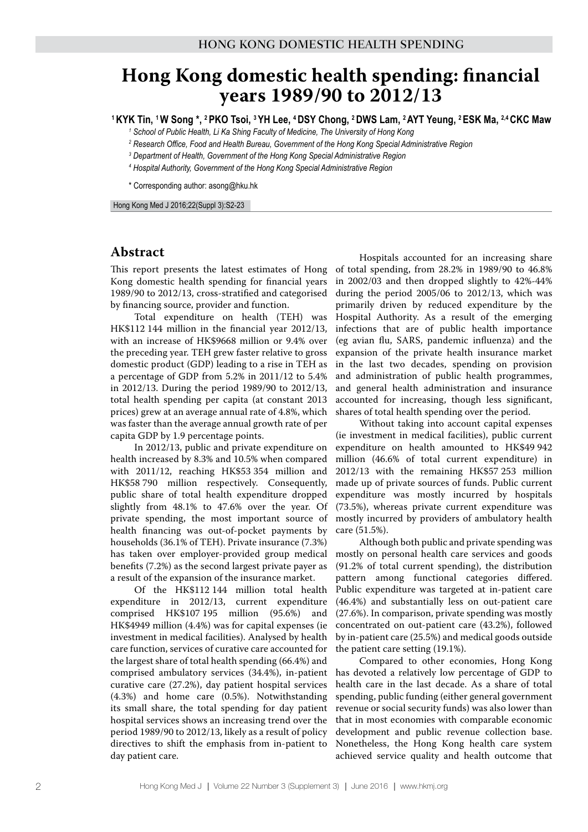# **Hong Kong domestic health spending: financial years 1989/90 to 2012/13**

**1 KYK Tin, 1 W Song \*, 2 PKO Tsoi, 3 YH Lee, 4 DSY Chong, 2 DWS Lam, 2 AYT Yeung, 2 ESK Ma, 2,4 CKC Maw**

<sup>1</sup> School of Public Health, Li Ka Shing Faculty of Medicine, The University of Hong Kong

*2 Research Office, Food and Health Bureau, Government of the Hong Kong Special Administrative Region*

- *3 Department of Health, Government of the Hong Kong Special Administrative Region*
- *4 Hospital Authority, Government of the Hong Kong Special Administrative Region*

\* Corresponding author: asong@hku.hk

Hong Kong Med J 2016;22(Suppl 3):S2-23

# **Abstract**

This report presents the latest estimates of Hong Kong domestic health spending for financial years 1989/90 to 2012/13, cross-stratified and categorised by financing source, provider and function.

Total expenditure on health (TEH) was HK\$112 144 million in the financial year 2012/13, with an increase of HK\$9668 million or 9.4% over the preceding year. TEH grew faster relative to gross domestic product (GDP) leading to a rise in TEH as a percentage of GDP from 5.2% in 2011/12 to 5.4% in 2012/13. During the period 1989/90 to 2012/13, total health spending per capita (at constant 2013 prices) grew at an average annual rate of 4.8%, which was faster than the average annual growth rate of per capita GDP by 1.9 percentage points.

In 2012/13, public and private expenditure on health increased by 8.3% and 10.5% when compared with 2011/12, reaching HK\$53 354 million and HK\$58 790 million respectively. Consequently, public share of total health expenditure dropped slightly from 48.1% to 47.6% over the year. Of private spending, the most important source of health financing was out-of-pocket payments by households (36.1% of TEH). Private insurance (7.3%) has taken over employer-provided group medical benefits (7.2%) as the second largest private payer as a result of the expansion of the insurance market.

Of the HK\$112 144 million total health expenditure in 2012/13, current expenditure comprised HK\$107 195 million (95.6%) and HK\$4949 million (4.4%) was for capital expenses (ie investment in medical facilities). Analysed by health care function, services of curative care accounted for the largest share of total health spending (66.4%) and comprised ambulatory services (34.4%), in-patient curative care (27.2%), day patient hospital services (4.3%) and home care (0.5%). Notwithstanding its small share, the total spending for day patient hospital services shows an increasing trend over the period 1989/90 to 2012/13, likely as a result of policy directives to shift the emphasis from in-patient to day patient care.

Hospitals accounted for an increasing share of total spending, from 28.2% in 1989/90 to 46.8% in 2002/03 and then dropped slightly to 42%-44% during the period 2005/06 to 2012/13, which was primarily driven by reduced expenditure by the Hospital Authority. As a result of the emerging infections that are of public health importance (eg avian flu, SARS, pandemic influenza) and the expansion of the private health insurance market in the last two decades, spending on provision and administration of public health programmes, and general health administration and insurance accounted for increasing, though less significant, shares of total health spending over the period.

Without taking into account capital expenses (ie investment in medical facilities), public current expenditure on health amounted to HK\$49 942 million (46.6% of total current expenditure) in 2012/13 with the remaining HK\$57 253 million made up of private sources of funds. Public current expenditure was mostly incurred by hospitals (73.5%), whereas private current expenditure was mostly incurred by providers of ambulatory health care (51.5%).

Although both public and private spending was mostly on personal health care services and goods (91.2% of total current spending), the distribution pattern among functional categories differed. Public expenditure was targeted at in-patient care (46.4%) and substantially less on out-patient care (27.6%). In comparison, private spending was mostly concentrated on out-patient care (43.2%), followed by in-patient care (25.5%) and medical goods outside the patient care setting (19.1%).

Compared to other economies, Hong Kong has devoted a relatively low percentage of GDP to health care in the last decade. As a share of total spending, public funding (either general government revenue or social security funds) was also lower than that in most economies with comparable economic development and public revenue collection base. Nonetheless, the Hong Kong health care system achieved service quality and health outcome that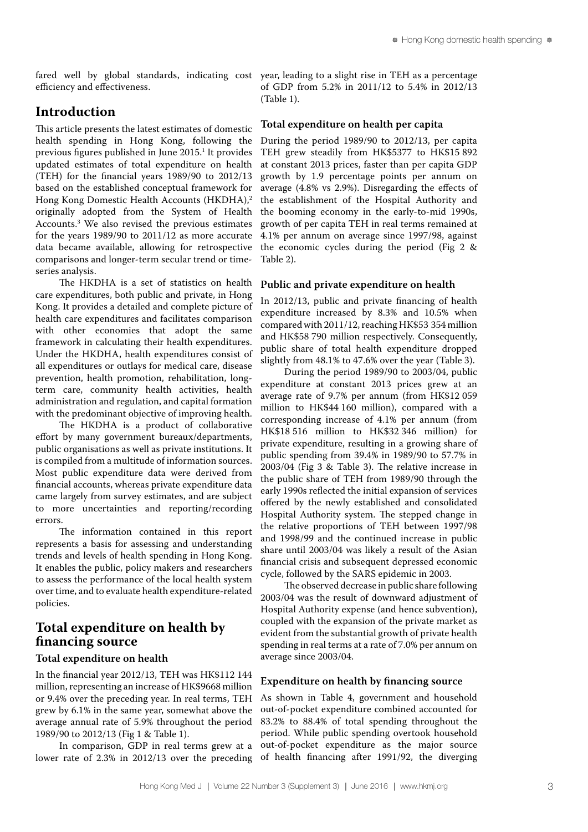efficiency and effectiveness.

### **Introduction**

This article presents the latest estimates of domestic health spending in Hong Kong, following the previous figures published in June 2015.<sup>1</sup> It provides updated estimates of total expenditure on health (TEH) for the financial years 1989/90 to 2012/13 based on the established conceptual framework for Hong Kong Domestic Health Accounts (HKDHA),<sup>2</sup> originally adopted from the System of Health Accounts.3 We also revised the previous estimates for the years 1989/90 to 2011/12 as more accurate data became available, allowing for retrospective comparisons and longer-term secular trend or timeseries analysis.

The HKDHA is a set of statistics on health care expenditures, both public and private, in Hong Kong. It provides a detailed and complete picture of health care expenditures and facilitates comparison with other economies that adopt the same framework in calculating their health expenditures. Under the HKDHA, health expenditures consist of all expenditures or outlays for medical care, disease prevention, health promotion, rehabilitation, longterm care, community health activities, health administration and regulation, and capital formation with the predominant objective of improving health.

The HKDHA is a product of collaborative effort by many government bureaux/departments, public organisations as well as private institutions. It is compiled from a multitude of information sources. Most public expenditure data were derived from financial accounts, whereas private expenditure data came largely from survey estimates, and are subject to more uncertainties and reporting/recording errors.

The information contained in this report represents a basis for assessing and understanding trends and levels of health spending in Hong Kong. It enables the public, policy makers and researchers to assess the performance of the local health system over time, and to evaluate health expenditure-related policies.

# **Total expenditure on health by financing source**

#### **Total expenditure on health**

In the financial year 2012/13, TEH was HK\$112 144 million, representing an increase of HK\$9668 million or 9.4% over the preceding year. In real terms, TEH grew by 6.1% in the same year, somewhat above the average annual rate of 5.9% throughout the period 1989/90 to 2012/13 (Fig 1 & Table 1).

In comparison, GDP in real terms grew at a lower rate of 2.3% in 2012/13 over the preceding

fared well by global standards, indicating cost year, leading to a slight rise in TEH as a percentage of GDP from 5.2% in 2011/12 to 5.4% in 2012/13 (Table 1).

#### **Total expenditure on health per capita**

During the period 1989/90 to 2012/13, per capita TEH grew steadily from HK\$5377 to HK\$15 892 at constant 2013 prices, faster than per capita GDP growth by 1.9 percentage points per annum on average (4.8% vs 2.9%). Disregarding the effects of the establishment of the Hospital Authority and the booming economy in the early-to-mid 1990s, growth of per capita TEH in real terms remained at 4.1% per annum on average since 1997/98, against the economic cycles during the period (Fig 2 & Table 2).

#### **Public and private expenditure on health**

In 2012/13, public and private financing of health expenditure increased by 8.3% and 10.5% when compared with 2011/12, reaching HK\$53 354 million and HK\$58 790 million respectively. Consequently, public share of total health expenditure dropped slightly from 48.1% to 47.6% over the year (Table 3).

During the period 1989/90 to 2003/04, public expenditure at constant 2013 prices grew at an average rate of 9.7% per annum (from HK\$12 059 million to HK\$44 160 million), compared with a corresponding increase of 4.1% per annum (from HK\$18 516 million to HK\$32 346 million) for private expenditure, resulting in a growing share of public spending from 39.4% in 1989/90 to 57.7% in 2003/04 (Fig 3 & Table 3). The relative increase in the public share of TEH from 1989/90 through the early 1990s reflected the initial expansion of services offered by the newly established and consolidated Hospital Authority system. The stepped change in the relative proportions of TEH between 1997/98 and 1998/99 and the continued increase in public share until 2003/04 was likely a result of the Asian financial crisis and subsequent depressed economic cycle, followed by the SARS epidemic in 2003.

The observed decrease in public share following 2003/04 was the result of downward adjustment of Hospital Authority expense (and hence subvention), coupled with the expansion of the private market as evident from the substantial growth of private health spending in real terms at a rate of 7.0% per annum on average since 2003/04.

#### **Expenditure on health by financing source**

As shown in Table 4, government and household out-of-pocket expenditure combined accounted for 83.2% to 88.4% of total spending throughout the period. While public spending overtook household out-of-pocket expenditure as the major source of health financing after 1991/92, the diverging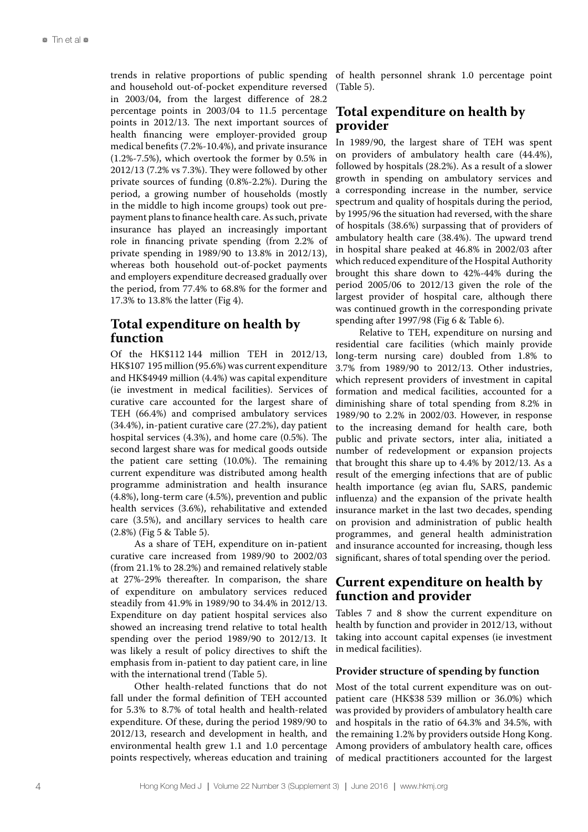trends in relative proportions of public spending and household out-of-pocket expenditure reversed in 2003/04, from the largest difference of 28.2 percentage points in 2003/04 to 11.5 percentage points in 2012/13. The next important sources of health financing were employer-provided group medical benefits (7.2%-10.4%), and private insurance (1.2%-7.5%), which overtook the former by 0.5% in 2012/13 (7.2% vs 7.3%). They were followed by other private sources of funding (0.8%-2.2%). During the period, a growing number of households (mostly in the middle to high income groups) took out prepayment plans to finance health care. As such, private insurance has played an increasingly important role in financing private spending (from 2.2% of private spending in 1989/90 to 13.8% in 2012/13), whereas both household out-of-pocket payments and employers expenditure decreased gradually over the period, from 77.4% to 68.8% for the former and 17.3% to 13.8% the latter (Fig 4).

# **Total expenditure on health by function**

Of the HK\$112 144 million TEH in 2012/13, HK\$107 195 million (95.6%) was current expenditure and HK\$4949 million (4.4%) was capital expenditure (ie investment in medical facilities). Services of curative care accounted for the largest share of TEH (66.4%) and comprised ambulatory services (34.4%), in-patient curative care (27.2%), day patient hospital services (4.3%), and home care (0.5%). The second largest share was for medical goods outside the patient care setting (10.0%). The remaining current expenditure was distributed among health programme administration and health insurance (4.8%), long-term care (4.5%), prevention and public health services (3.6%), rehabilitative and extended care (3.5%), and ancillary services to health care (2.8%) (Fig 5 & Table 5).

As a share of TEH, expenditure on in-patient curative care increased from 1989/90 to 2002/03 (from 21.1% to 28.2%) and remained relatively stable at 27%-29% thereafter. In comparison, the share of expenditure on ambulatory services reduced steadily from 41.9% in 1989/90 to 34.4% in 2012/13. Expenditure on day patient hospital services also showed an increasing trend relative to total health spending over the period 1989/90 to 2012/13. It was likely a result of policy directives to shift the emphasis from in-patient to day patient care, in line with the international trend (Table 5).

Other health-related functions that do not fall under the formal definition of TEH accounted for 5.3% to 8.7% of total health and health-related expenditure. Of these, during the period 1989/90 to 2012/13, research and development in health, and environmental health grew 1.1 and 1.0 percentage points respectively, whereas education and training

of health personnel shrank 1.0 percentage point (Table 5).

# **Total expenditure on health by provider**

In 1989/90, the largest share of TEH was spent on providers of ambulatory health care (44.4%), followed by hospitals (28.2%). As a result of a slower growth in spending on ambulatory services and a corresponding increase in the number, service spectrum and quality of hospitals during the period, by 1995/96 the situation had reversed, with the share of hospitals (38.6%) surpassing that of providers of ambulatory health care (38.4%). The upward trend in hospital share peaked at 46.8% in 2002/03 after which reduced expenditure of the Hospital Authority brought this share down to 42%-44% during the period 2005/06 to 2012/13 given the role of the largest provider of hospital care, although there was continued growth in the corresponding private spending after 1997/98 (Fig 6 & Table 6).

Relative to TEH, expenditure on nursing and residential care facilities (which mainly provide long-term nursing care) doubled from 1.8% to 3.7% from 1989/90 to 2012/13. Other industries, which represent providers of investment in capital formation and medical facilities, accounted for a diminishing share of total spending from 8.2% in 1989/90 to 2.2% in 2002/03. However, in response to the increasing demand for health care, both public and private sectors, inter alia, initiated a number of redevelopment or expansion projects that brought this share up to 4.4% by 2012/13. As a result of the emerging infections that are of public health importance (eg avian flu, SARS, pandemic influenza) and the expansion of the private health insurance market in the last two decades, spending on provision and administration of public health programmes, and general health administration and insurance accounted for increasing, though less significant, shares of total spending over the period.

# **Current expenditure on health by function and provider**

Tables 7 and 8 show the current expenditure on health by function and provider in 2012/13, without taking into account capital expenses (ie investment in medical facilities).

#### **Provider structure of spending by function**

Most of the total current expenditure was on outpatient care (HK\$38 539 million or 36.0%) which was provided by providers of ambulatory health care and hospitals in the ratio of 64.3% and 34.5%, with the remaining 1.2% by providers outside Hong Kong. Among providers of ambulatory health care, offices of medical practitioners accounted for the largest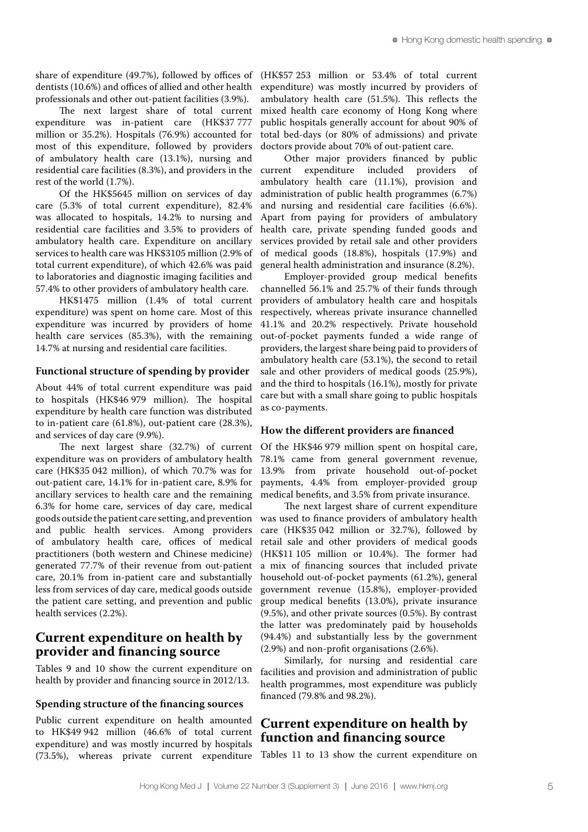share of expenditure (49.7%), followed by offices of dentists (10.6%) and offices of allied and other health professionals and other out-patient facilities (3.9%).

The next largest share of total current expenditure was in-patient care (HK\$37 777 million or 35.2%). Hospitals (76.9%) accounted for most of this expenditure, followed by providers of ambulatory health care (13.1%), nursing and residential care facilities (8.3%), and providers in the rest of the world (1.7%).

Of the HK\$5645 million on services of day care (5.3% of total current expenditure), 82.4% was allocated to hospitals, 14.2% to nursing and residential care facilities and 3.5% to providers of ambulatory health care. Expenditure on ancillary services to health care was HK\$3105 million (2.9% of total current expenditure), of which 42.6% was paid to laboratories and diagnostic imaging facilities and 57.4% to other providers of ambulatory health care.

HK\$1475 million (1.4% of total current expenditure) was spent on home care. Most of this expenditure was incurred by providers of home health care services (85.3%), with the remaining 14.7% at nursing and residential care facilities.

#### **Functional structure of spending by provider**

About 44% of total current expenditure was paid to hospitals (HK\$46 979 million). The hospital expenditure by health care function was distributed to in-patient care (61.8%), out-patient care (28.3%), and services of day care (9.9%).

The next largest share (32.7%) of current expenditure was on providers of ambulatory health care (HK\$35 042 million), of which 70.7% was for out-patient care, 14.1% for in-patient care, 8.9% for ancillary services to health care and the remaining 6.3% for home care, services of day care, medical goods outside the patient care setting, and prevention and public health services. Among providers of ambulatory health care, offices of medical practitioners (both western and Chinese medicine) generated 77.7% of their revenue from out-patient care, 20.1% from in-patient care and substantially less from services of day care, medical goods outside the patient care setting, and prevention and public health services (2.2%).

### **Current expenditure on health by provider and financing source**

Tables 9 and 10 show the current expenditure on health by provider and financing source in 2012/13.

#### **Spending structure of the financing sources**

Public current expenditure on health amounted to HK\$49 942 million (46.6% of total current expenditure) and was mostly incurred by hospitals (73.5%), whereas private current expenditure

(HK\$57 253 million or 53.4% of total current expenditure) was mostly incurred by providers of ambulatory health care (51.5%). This reflects the mixed health care economy of Hong Kong where public hospitals generally account for about 90% of total bed-days (or 80% of admissions) and private doctors provide about 70% of out-patient care.

Other major providers financed by public current expenditure included providers of ambulatory health care (11.1%), provision and administration of public health programmes (6.7%) and nursing and residential care facilities (6.6%). Apart from paying for providers of ambulatory health care, private spending funded goods and services provided by retail sale and other providers of medical goods (18.8%), hospitals (17.9%) and general health administration and insurance (8.2%).

Employer-provided group medical benefits channelled 56.1% and 25.7% of their funds through providers of ambulatory health care and hospitals respectively, whereas private insurance channelled 41.1% and 20.2% respectively. Private household out-of-pocket payments funded a wide range of providers, the largest share being paid to providers of ambulatory health care (53.1%), the second to retail sale and other providers of medical goods (25.9%), and the third to hospitals (16.1%), mostly for private care but with a small share going to public hospitals as co-payments.

#### **How the different providers are financed**

Of the HK\$46 979 million spent on hospital care, 78.1% came from general government revenue, 13.9% from private household out-of-pocket payments, 4.4% from employer-provided group medical benefits, and 3.5% from private insurance.

The next largest share of current expenditure was used to finance providers of ambulatory health care (HK\$35 042 million or 32.7%), followed by retail sale and other providers of medical goods (HK\$11 105 million or 10.4%). The former had a mix of financing sources that included private household out-of-pocket payments (61.2%), general government revenue (15.8%), employer-provided group medical benefits (13.0%), private insurance (9.5%), and other private sources (0.5%). By contrast the latter was predominately paid by households (94.4%) and substantially less by the government (2.9%) and non-profit organisations (2.6%).

Similarly, for nursing and residential care facilities and provision and administration of public health programmes, most expenditure was publicly financed (79.8% and 98.2%).

# **Current expenditure on health by function and financing source**

Tables 11 to 13 show the current expenditure on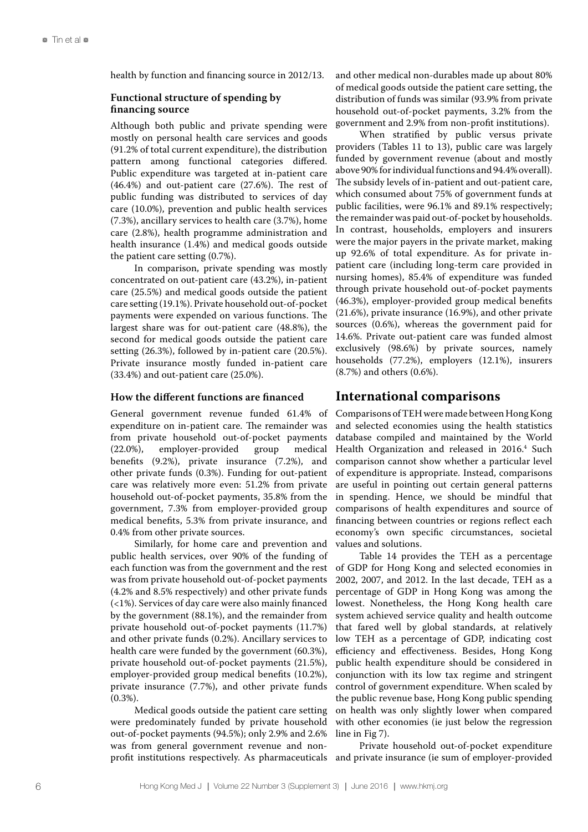health by function and financing source in 2012/13.

### **Functional structure of spending by financing source**

Although both public and private spending were mostly on personal health care services and goods (91.2% of total current expenditure), the distribution pattern among functional categories differed. Public expenditure was targeted at in-patient care (46.4%) and out-patient care (27.6%). The rest of public funding was distributed to services of day care (10.0%), prevention and public health services (7.3%), ancillary services to health care (3.7%), home care (2.8%), health programme administration and health insurance (1.4%) and medical goods outside the patient care setting (0.7%).

In comparison, private spending was mostly concentrated on out-patient care (43.2%), in-patient care (25.5%) and medical goods outside the patient care setting (19.1%). Private household out-of-pocket payments were expended on various functions. The largest share was for out-patient care (48.8%), the second for medical goods outside the patient care setting (26.3%), followed by in-patient care (20.5%). Private insurance mostly funded in-patient care (33.4%) and out-patient care (25.0%).

#### **How the different functions are financed**

General government revenue funded 61.4% of expenditure on in-patient care. The remainder was from private household out-of-pocket payments (22.0%), employer-provided group medical benefits (9.2%), private insurance (7.2%), and other private funds (0.3%). Funding for out-patient care was relatively more even: 51.2% from private household out-of-pocket payments, 35.8% from the government, 7.3% from employer-provided group medical benefits, 5.3% from private insurance, and 0.4% from other private sources.

Similarly, for home care and prevention and public health services, over 90% of the funding of each function was from the government and the rest was from private household out-of-pocket payments (4.2% and 8.5% respectively) and other private funds (<1%). Services of day care were also mainly financed by the government (88.1%), and the remainder from private household out-of-pocket payments (11.7%) and other private funds (0.2%). Ancillary services to health care were funded by the government (60.3%), private household out-of-pocket payments (21.5%), employer-provided group medical benefits (10.2%), private insurance (7.7%), and other private funds  $(0.3\%)$ .

Medical goods outside the patient care setting were predominately funded by private household out-of-pocket payments (94.5%); only 2.9% and 2.6% was from general government revenue and nonprofit institutions respectively. As pharmaceuticals

and other medical non-durables made up about 80% of medical goods outside the patient care setting, the distribution of funds was similar (93.9% from private household out-of-pocket payments, 3.2% from the government and 2.9% from non-profit institutions).

When stratified by public versus private providers (Tables 11 to 13), public care was largely funded by government revenue (about and mostly above 90% for individual functions and 94.4% overall). The subsidy levels of in-patient and out-patient care, which consumed about 75% of government funds at public facilities, were 96.1% and 89.1% respectively; the remainder was paid out-of-pocket by households. In contrast, households, employers and insurers were the major payers in the private market, making up 92.6% of total expenditure. As for private inpatient care (including long-term care provided in nursing homes), 85.4% of expenditure was funded through private household out-of-pocket payments (46.3%), employer-provided group medical benefits (21.6%), private insurance (16.9%), and other private sources (0.6%), whereas the government paid for 14.6%. Private out-patient care was funded almost exclusively (98.6%) by private sources, namely households (77.2%), employers (12.1%), insurers (8.7%) and others (0.6%).

### **International comparisons**

Comparisons of TEH were made between Hong Kong and selected economies using the health statistics database compiled and maintained by the World Health Organization and released in 2016.<sup>4</sup> Such comparison cannot show whether a particular level of expenditure is appropriate. Instead, comparisons are useful in pointing out certain general patterns in spending. Hence, we should be mindful that comparisons of health expenditures and source of financing between countries or regions reflect each economy's own specific circumstances, societal values and solutions.

Table 14 provides the TEH as a percentage of GDP for Hong Kong and selected economies in 2002, 2007, and 2012. In the last decade, TEH as a percentage of GDP in Hong Kong was among the lowest. Nonetheless, the Hong Kong health care system achieved service quality and health outcome that fared well by global standards, at relatively low TEH as a percentage of GDP, indicating cost efficiency and effectiveness. Besides, Hong Kong public health expenditure should be considered in conjunction with its low tax regime and stringent control of government expenditure. When scaled by the public revenue base, Hong Kong public spending on health was only slightly lower when compared with other economies (ie just below the regression line in Fig 7).

Private household out-of-pocket expenditure and private insurance (ie sum of employer-provided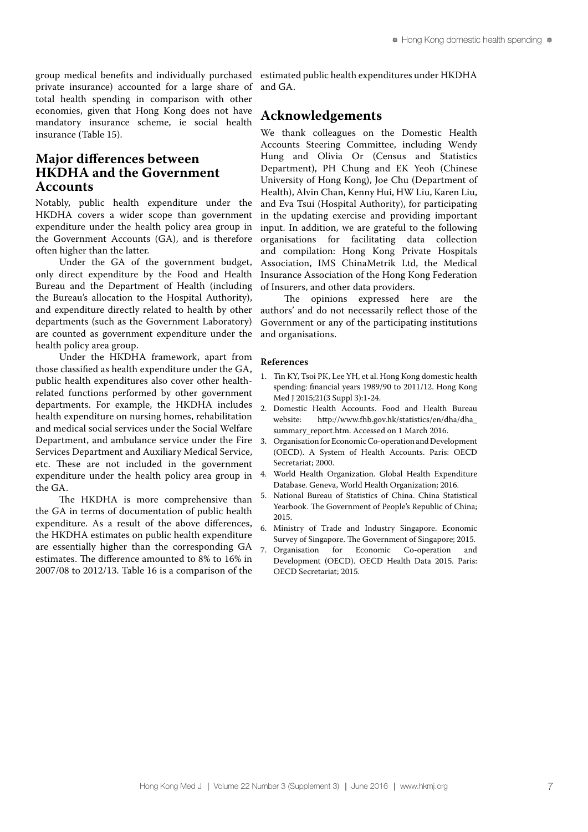group medical benefits and individually purchased private insurance) accounted for a large share of total health spending in comparison with other economies, given that Hong Kong does not have mandatory insurance scheme, ie social health insurance (Table 15).

# **Major differences between HKDHA and the Government Accounts**

Notably, public health expenditure under the HKDHA covers a wider scope than government expenditure under the health policy area group in the Government Accounts (GA), and is therefore often higher than the latter.

Under the GA of the government budget, only direct expenditure by the Food and Health Bureau and the Department of Health (including the Bureau's allocation to the Hospital Authority), and expenditure directly related to health by other departments (such as the Government Laboratory) are counted as government expenditure under the health policy area group.

Under the HKDHA framework, apart from those classified as health expenditure under the GA, public health expenditures also cover other healthrelated functions performed by other government departments. For example, the HKDHA includes health expenditure on nursing homes, rehabilitation and medical social services under the Social Welfare Department, and ambulance service under the Fire Services Department and Auxiliary Medical Service, etc. These are not included in the government expenditure under the health policy area group in the GA.

The HKDHA is more comprehensive than the GA in terms of documentation of public health expenditure. As a result of the above differences, the HKDHA estimates on public health expenditure are essentially higher than the corresponding GA estimates. The difference amounted to 8% to 16% in 2007/08 to 2012/13. Table 16 is a comparison of the

estimated public health expenditures under HKDHA and GA.

# **Acknowledgements**

We thank colleagues on the Domestic Health Accounts Steering Committee, including Wendy Hung and Olivia Or (Census and Statistics Department), PH Chung and EK Yeoh (Chinese University of Hong Kong), Joe Chu (Department of Health), Alvin Chan, Kenny Hui, HW Liu, Karen Liu, and Eva Tsui (Hospital Authority), for participating in the updating exercise and providing important input. In addition, we are grateful to the following organisations for facilitating data collection and compilation: Hong Kong Private Hospitals Association, IMS ChinaMetrik Ltd, the Medical Insurance Association of the Hong Kong Federation of Insurers, and other data providers.

The opinions expressed here are the authors' and do not necessarily reflect those of the Government or any of the participating institutions and organisations.

#### **References**

- 1. Tin KY, Tsoi PK, Lee YH, et al. Hong Kong domestic health spending: financial years 1989/90 to 2011/12. Hong Kong Med J 2015;21(3 Suppl 3):1-24.
- 2. Domestic Health Accounts. Food and Health Bureau<br>website: http://www.fhb.gov.hk/statistics/en/dha/dha http://www.fhb.gov.hk/statistics/en/dha/dha\_ summary report.htm. Accessed on 1 March 2016.
- 3. Organisation for Economic Co-operation and Development (OECD). A System of Health Accounts. Paris: OECD Secretariat; 2000.
- 4. World Health Organization. Global Health Expenditure Database. Geneva, World Health Organization; 2016.
- 5. National Bureau of Statistics of China. China Statistical Yearbook. The Government of People's Republic of China; 2015.
- 6. Ministry of Trade and Industry Singapore. Economic Survey of Singapore. The Government of Singapore; 2015.<br>Organisation for Economic Co-operation and
- 7. Organisation for Economic Co-operation and Development (OECD). OECD Health Data 2015. Paris: OECD Secretariat; 2015.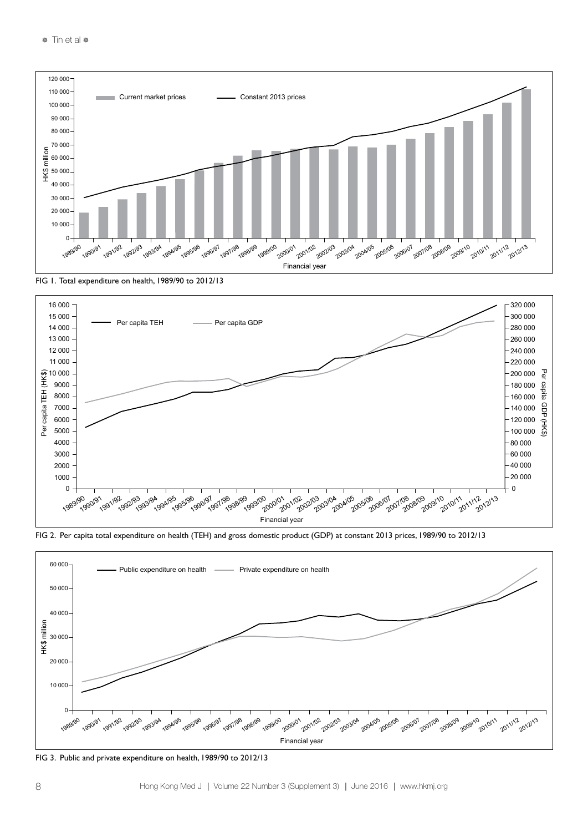





FIG 2. Per capita total expenditure on health (TEH) and gross domestic product (GDP) at constant 2013 prices, 1989/90 to 2012/13



FIG 3. Public and private expenditure on health, 1989/90 to 2012/13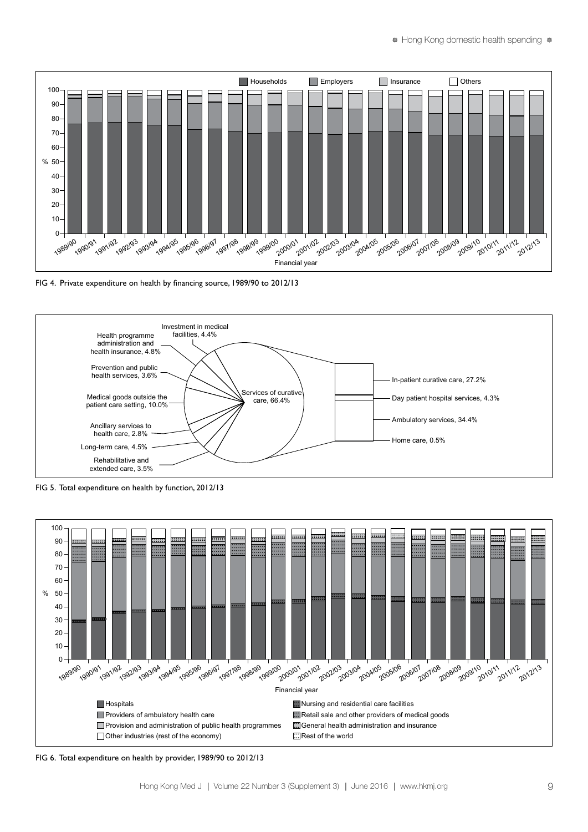

FIG 4. Private expenditure on health by financing source, 1989/90 to 2012/13



FIG 5. Total expenditure on health by function, 2012/13



FIG 6. Total expenditure on health by provider, 1989/90 to 2012/13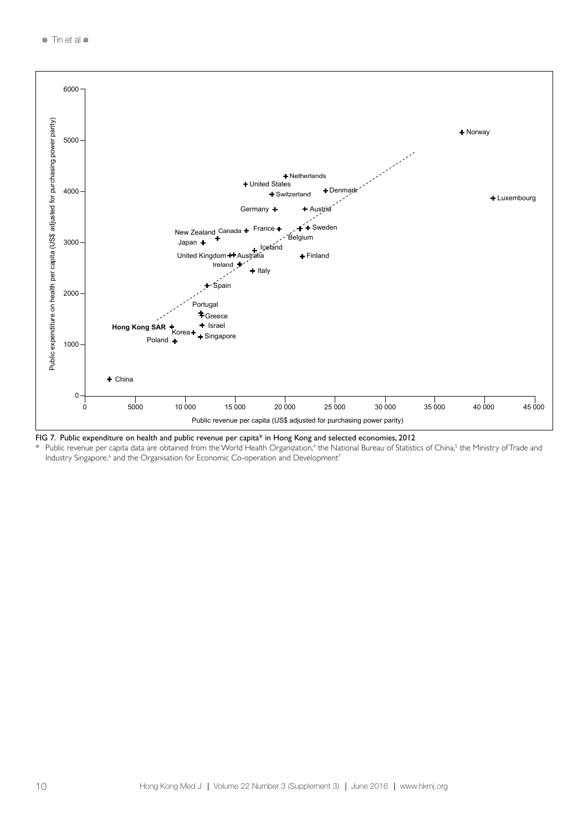

FIG 7. Public expenditure on health and public revenue per capita\* in Hong Kong and selected economies, 2012

 $*$  Public revenue per capita data are obtained from the World Health Organization,<sup>4</sup> the National Bureau of Statistics of China,<sup>5</sup> the Ministry of Trade and Industry Singapore,<sup>6</sup> and the Organisation for Economic Co-operation and Development<sup>7</sup>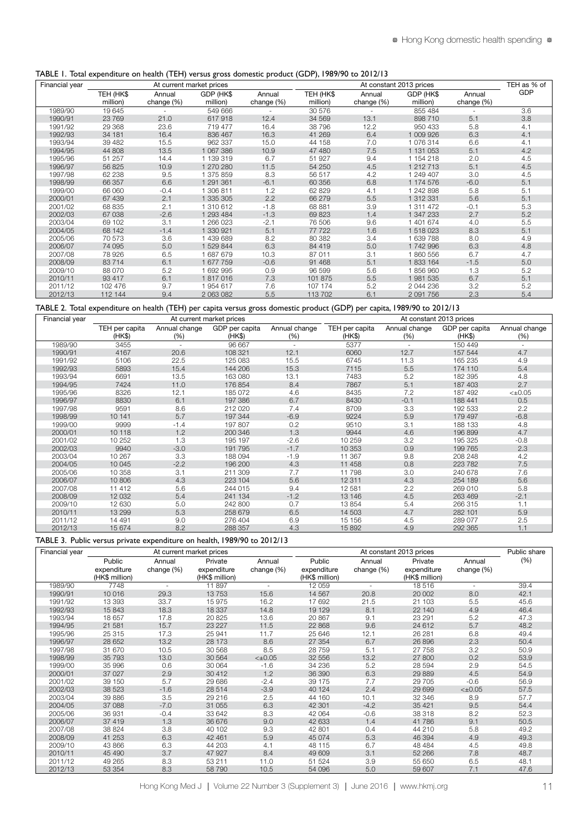#### TABLE 1. Total expenditure on health (TEH) versus gross domestic product (GDP), 1989/90 to 2012/13

| Financial year |           | At current market prices |           |            |           | At constant 2013 prices |           |            | TEH as % of |
|----------------|-----------|--------------------------|-----------|------------|-----------|-------------------------|-----------|------------|-------------|
|                | TEH (HK\$ | Annual                   | GDP (HK\$ | Annual     | TEH (HK\$ | Annual                  | GDP (HK\$ | Annual     | <b>GDP</b>  |
|                | million)  | change (%)               | million)  | change (%) | million)  | change (%)              | million)  | change (%) |             |
| 1989/90        | 19 645    |                          | 549 666   |            | 30 576    |                         | 855 484   |            | 3.6         |
| 1990/91        | 23 769    | 21.0                     | 617918    | 12.4       | 34 569    | 13.1                    | 898 710   | 5.1        | 3.8         |
| 1991/92        | 29 368    | 23.6                     | 719 477   | 16.4       | 38796     | 12.2                    | 950 433   | 5.8        | 4.1         |
| 1992/93        | 34 181    | 16.4                     | 836 467   | 16.3       | 41 269    | 6.4                     | 1009926   | 6.3        | 4.1         |
| 1993/94        | 39 4 82   | 15.5                     | 962 337   | 15.0       | 44 158    | 7.0                     | 1076314   | 6.6        | 4.1         |
| 1994/95        | 44 808    | 13.5                     | 1 067 386 | 10.9       | 47 480    | 7.5                     | 1 131 053 | 5.1        | 4.2         |
| 1995/96        | 51 257    | 14.4                     | 1 139 319 | 6.7        | 51 927    | 9.4                     | 1 154 218 | 2.0        | 4.5         |
| 1996/97        | 56 825    | 10.9                     | 1 270 280 | 11.5       | 54 250    | 4.5                     | 1 212 713 | 5.1        | 4.5         |
| 1997/98        | 62 238    | 9.5                      | 1 375 859 | 8.3        | 56 517    | 4.2                     | 1 249 407 | 3.0        | 4.5         |
| 1998/99        | 66 357    | 6.6                      | 1 291 361 | $-6.1$     | 60 356    | 6.8                     | 1 174 576 | $-6.0$     | 5.1         |
| 1999/00        | 66 060    | $-0.4$                   | 1 306 811 | 1.2        | 62 829    | 4.1                     | 1 242 898 | 5.8        | 5.1         |
| 2000/01        | 67 439    | 2.1                      | 1 335 305 | 2.2        | 66 279    | 5.5                     | 1 312 331 | 5.6        | 5.1         |
| 2001/02        | 68 835    | 2.1                      | 1 310 612 | $-1.8$     | 68 881    | 3.9                     | 1 311 472 | $-0.1$     | 5.3         |
| 2002/03        | 67 038    | $-2.6$                   | 1 293 484 | $-1.3$     | 69 823    | 1.4                     | 1 347 233 | 2.7        | 5.2         |
| 2003/04        | 69 102    | 3.1                      | 1 266 023 | $-2.1$     | 76 506    | 9.6                     | 1401674   | 4.0        | 5.5         |
| 2004/05        | 68 142    | $-1.4$                   | 1 330 921 | 5.1        | 77 722    | 1.6                     | 1518023   | 8.3        | 5.1         |
| 2005/06        | 70 573    | 3.6                      | 1 439 689 | 8.2        | 80 382    | 3.4                     | 1639788   | 8.0        | 4.9         |
| 2006/07        | 74 095    | 5.0                      | 1 529 844 | 6.3        | 84 419    | 5.0                     | 1742996   | 6.3        | 4.8         |
| 2007/08        | 78 926    | 6.5                      | 1 687 679 | 10.3       | 87 011    | 3.1                     | 1860556   | 6.7        | 4.7         |
| 2008/09        | 83 714    | 6.1                      | 1 677 759 | $-0.6$     | 91 468    | 5.1                     | 1833164   | $-1.5$     | 5.0         |
| 2009/10        | 88 070    | 5.2                      | 1 692 995 | 0.9        | 96 599    | 5.6                     | 1856960   | 1.3        | 5.2         |
| 2010/11        | 93 417    | 6.1                      | 1817016   | 7.3        | 101 875   | 5.5                     | 1981535   | 6.7        | 5.1         |
| 2011/12        | 102 476   | 9.7                      | 1954 617  | 7.6        | 107 174   | 5.2                     | 2044236   | 3.2        | 5.2         |
| 2012/13        | 112 144   | 9.4                      | 2 063 082 | 5.5        | 113 702   | 6.1                     | 2 091 756 | 2.3        | 5.4         |

TABLE 2. Total expenditure on health (TEH) per capita versus gross domestic product (GDP) per capita, 1989/90 to 2012/13

| Financial year |                          |                      | At current market prices |                      |                          |                          | At constant 2013 prices  |                      |
|----------------|--------------------------|----------------------|--------------------------|----------------------|--------------------------|--------------------------|--------------------------|----------------------|
|                | TEH per capita<br>(HK\$) | Annual change<br>(%) | GDP per capita<br>(HK\$) | Annual change<br>(%) | TEH per capita<br>(HK\$) | Annual change<br>(% )    | GDP per capita<br>(HK\$) | Annual change<br>(%) |
| 1989/90        | 3455                     | ٠                    | 96 667                   |                      | 5377                     | $\overline{\phantom{a}}$ | 150 449                  | $\sim$               |
| 1990/91        | 4167                     | 20.6                 | 108 321                  | 12.1                 | 6060                     | 12.7                     | 157 544                  | 4.7                  |
| 1991/92        | 5106                     | 22.5                 | 125 083                  | 15.5                 | 6745                     | 11.3                     | 165 235                  | 4.9                  |
| 1992/93        | 5893                     | 15.4                 | 144 206                  | 15.3                 | 7115                     | 5.5                      | 174 110                  | 5.4                  |
| 1993/94        | 6691                     | 13.5                 | 163 080                  | 13.1                 | 7483                     | 5.2                      | 182 395                  | 4.8                  |
| 1994/95        | 7424                     | 11.0                 | 176 854                  | 8.4                  | 7867                     | 5.1                      | 187 403                  | 2.7                  |
| 1995/96        | 8326                     | 12.1                 | 185 072                  | 4.6                  | 8435                     | 7.2                      | 187 492                  | $< \pm 0.05$         |
| 1996/97        | 8830                     | 6.1                  | 197 386                  | 6.7                  | 8430                     | $-0.1$                   | 188 441                  | 0.5                  |
| 1997/98        | 9591                     | 8.6                  | 212 020                  | 7.4                  | 8709                     | 3.3                      | 192 533                  | 2.2                  |
| 1998/99        | 10 141                   | 5.7                  | 197 344                  | $-6.9$               | 9224                     | 5.9                      | 179 497                  | $-6.8$               |
| 1999/00        | 9999                     | $-1.4$               | 197 807                  | 0.2                  | 9510                     | 3.1                      | 188 133                  | 4.8                  |
| 2000/01        | 10 118                   | 1.2                  | 200 346                  | 1.3                  | 9944                     | 4.6                      | 196 899                  | 4.7                  |
| 2001/02        | 10 252                   | 1.3                  | 195 197                  | $-2.6$               | 10 259                   | 3.2                      | 195 325                  | $-0.8$               |
| 2002/03        | 9940                     | $-3.0$               | 191 795                  | $-1.7$               | 10 353                   | 0.9                      | 199 765                  | 2.3                  |
| 2003/04        | 10 267                   | 3.3                  | 188 094                  | $-1.9$               | 11 367                   | 9.8                      | 208 248                  | 4.2                  |
| 2004/05        | 10 045                   | $-2.2$               | 196 200                  | 4.3                  | 11 458                   | 0.8                      | 223 782                  | 7.5                  |
| 2005/06        | 10 358                   | 3.1                  | 211 309                  | 7.7                  | 11 798                   | 3.0                      | 240 678                  | 7.6                  |
| 2006/07        | 10 806                   | 4.3                  | 223 104                  | 5.6                  | 12 3 11                  | 4.3                      | 254 189                  | 5.6                  |
| 2007/08        | 11 412                   | 5.6                  | 244 015                  | 9.4                  | 12 581                   | 2.2                      | 269 010                  | 5.8                  |
| 2008/09        | 12 0 32                  | 5.4                  | 241 134                  | $-1.2$               | 13 146                   | 4.5                      | 263 469                  | $-2.1$               |
| 2009/10        | 12 630                   | 5.0                  | 242 800                  | 0.7                  | 13 854                   | 5.4                      | 266 315                  | 1.1                  |
| 2010/11        | 13 299                   | 5.3                  | 258 679                  | 6.5                  | 14 503                   | 4.7                      | 282 101                  | 5.9                  |
| 2011/12        | 14 4 91                  | 9.0                  | 276 404                  | 6.9                  | 15 156                   | 4.5                      | 289 077                  | 2.5                  |
| 2012/13        | 15 674                   | 8.2                  | 288 357                  | 4.3                  | 15 892                   | 4.9                      | 292 365                  | 1.1                  |

TABLE 3. Public versus private expenditure on health, 1989/90 to 2012/13

| Financial year |                                         |                      | At current market prices                 |                      |                                         |                      | At constant 2013 prices                  |                      | Public share |
|----------------|-----------------------------------------|----------------------|------------------------------------------|----------------------|-----------------------------------------|----------------------|------------------------------------------|----------------------|--------------|
|                | Public<br>expenditure<br>(HK\$ million) | Annual<br>change (%) | Private<br>expenditure<br>(HK\$ million) | Annual<br>change (%) | Public<br>expenditure<br>(HK\$ million) | Annual<br>change (%) | Private<br>expenditure<br>(HK\$ million) | Annual<br>change (%) | (% )         |
| 1989/90        | 7748                                    |                      | 11 897                                   |                      | 12 059                                  |                      | 18516                                    | $\sim$               | 39.4         |
| 1990/91        | 10 016                                  | 29.3                 | 13753                                    | 15.6                 | 14 5 67                                 | 20.8                 | 20 002                                   | 8.0                  | 42.1         |
| 1991/92        | 13 393                                  | 33.7                 | 15 975                                   | 16.2                 | 17 692                                  | 21.5                 | 21 103                                   | 5.5                  | 45.6         |
| 1992/93        | 15 843                                  | 18.3                 | 18 3 37                                  | 14.8                 | 19 129                                  | 8.1                  | 22 140                                   | 4.9                  | 46.4         |
| 1993/94        | 18 657                                  | 17.8                 | 20 825                                   | 13.6                 | 20 867                                  | 9.1                  | 23 291                                   | 5.2                  | 47.3         |
| 1994/95        | 21 581                                  | 15.7                 | 23 227                                   | 11.5                 | 22 868                                  | 9.6                  | 24 612                                   | 5.7                  | 48.2         |
| 1995/96        | 25 315                                  | 17.3                 | 25 941                                   | 11.7                 | 25 646                                  | 12.1                 | 26 281                                   | 6.8                  | 49.4         |
| 1996/97        | 28 652                                  | 13.2                 | 28 173                                   | 8.6                  | 27 354                                  | 6.7                  | 26 896                                   | 2.3                  | 50.4         |
| 1997/98        | 31 670                                  | 10.5                 | 30 568                                   | 8.5                  | 28759                                   | 5.1                  | 27 758                                   | 3.2                  | 50.9         |
| 1998/99        | 35 7 93                                 | 13.0                 | 30 564                                   | $< \pm 0.05$         | 32 556                                  | 13.2                 | 27 800                                   | 0.2                  | 53.9         |
| 1999/00        | 35 996                                  | 0.6                  | 30 064                                   | $-1.6$               | 34 236                                  | 5.2                  | 28 594                                   | 2.9                  | 54.5         |
| 2000/01        | 37 0 27                                 | 2.9                  | 30 412                                   | 1.2                  | 36 390                                  | 6.3                  | 29 8 89                                  | 4.5                  | 54.9         |
| 2001/02        | 39 150                                  | 5.7                  | 29 686                                   | $-2.4$               | 39 175                                  | 7.7                  | 29 705                                   | $-0.6$               | 56.9         |
| 2002/03        | 38 5 23                                 | $-1.6$               | 28 514                                   | $-3.9$               | 40 124                                  | 2.4                  | 29 699                                   | $< \pm 0.05$         | 57.5         |
| 2003/04        | 39 886                                  | 3.5                  | 29 216                                   | 2.5                  | 44 160                                  | 10.1                 | 32 346                                   | 8.9                  | 57.7         |
| 2004/05        | 37 088                                  | $-7.0$               | 31 055                                   | 6.3                  | 42 301                                  | $-4.2$               | 35 4 21                                  | 9.5                  | 54.4         |
| 2005/06        | 36 931                                  | $-0.4$               | 33 642                                   | 8.3                  | 42 064                                  | $-0.6$               | 38 318                                   | 8.2                  | 52.3         |
| 2006/07        | 37 419                                  | 1.3                  | 36 676                                   | 9.0                  | 42 633                                  | 1.4                  | 41786                                    | 9.1                  | 50.5         |
| 2007/08        | 38 824                                  | 3.8                  | 40 102                                   | 9.3                  | 42 801                                  | 0.4                  | 44 210                                   | 5.8                  | 49.2         |
| 2008/09        | 41 253                                  | 6.3                  | 42 461                                   | 5.9                  | 45 0 74                                 | 5.3                  | 46 394                                   | 4.9                  | 49.3         |
| 2009/10        | 43 866                                  | 6.3                  | 44 203                                   | 4.1                  | 48 115                                  | 6.7                  | 48 4 84                                  | 4.5                  | 49.8         |
| 2010/11        | 45 490                                  | 3.7                  | 47 927                                   | 8.4                  | 49 609                                  | 3.1                  | 52 266                                   | 7.8                  | 48.7         |
| 2011/12        | 49 265                                  | 8.3                  | 53 211                                   | 11.0                 | 51 524                                  | 3.9                  | 55 650                                   | 6.5                  | 48.1         |
| 2012/13        | 53 354                                  | 8.3                  | 58 790                                   | 10.5                 | 54 096                                  | 5.0                  | 59 607                                   | 7.1                  | 47.6         |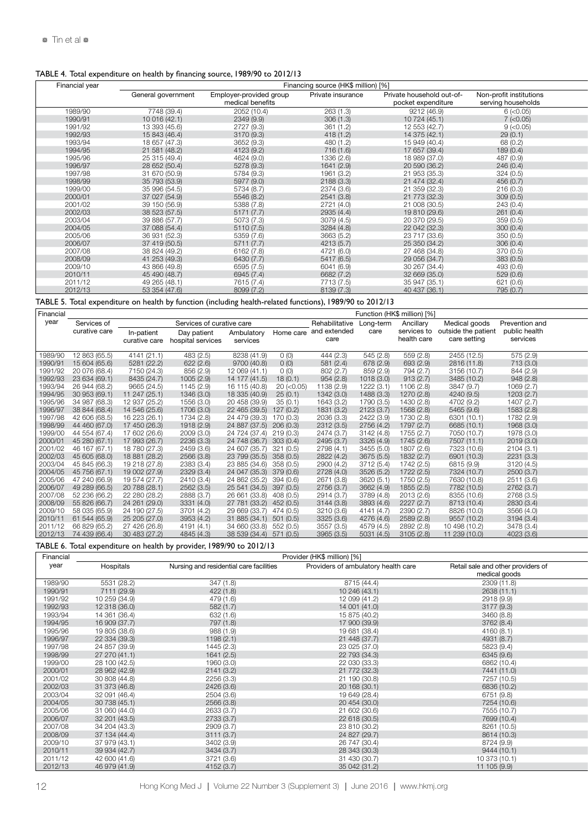### TABLE 4. Total expenditure on health by financing source, 1989/90 to 2012/13

| Financial year |                    |                                             | Financing source (HK\$ million) [%] |                                                 |                                               |  |
|----------------|--------------------|---------------------------------------------|-------------------------------------|-------------------------------------------------|-----------------------------------------------|--|
|                | General government | Employer-provided group<br>medical benefits | Private insurance                   | Private household out-of-<br>pocket expenditure | Non-profit institutions<br>serving households |  |
| 1989/90        | 7748 (39.4)        | 2052 (10.4)                                 | 263(1.3)                            | 9212 (46.9)                                     | $6$ ( $<$ 0.05)                               |  |
| 1990/91        | 10 016 (42.1)      | 2349 (9.9)                                  | 306(1.3)                            | 10 724 (45.1)                                   | $7$ ( $<$ 0.05)                               |  |
| 1991/92        | 13 393 (45.6)      | 2727 (9.3)                                  | 361 (1.2)                           | 12 553 (42.7)                                   | $9$ ( $<$ 0.05)                               |  |
| 1992/93        | 15 843 (46.4)      | 3170 (9.3)                                  | 418(1.2)                            | 14 375 (42.1)                                   | 29(0.1)                                       |  |
| 1993/94        | 18 657 (47.3)      | 3652 (9.3)                                  | 480 (1.2)                           | 15 949 (40.4)                                   | 68 (0.2)                                      |  |
| 1994/95        | 21 581 (48.2)      | 4123 (9.2)                                  | 716(1.6)                            | 17 657 (39.4)                                   | 189(0.4)                                      |  |
| 1995/96        | 25 315 (49.4)      | 4624 (9.0)                                  | 1336 (2.6)                          | 18 989 (37.0)                                   | 487 (0.9)                                     |  |
| 1996/97        | 28 652 (50.4)      | 5278 (9.3)                                  | 1641 (2.9)                          | 20 590 (36.2)                                   | 246(0.4)                                      |  |
| 1997/98        | 31 670 (50.9)      | 5784 (9.3)                                  | 1961 (3.2)                          | 21 953 (35.3)                                   | 324(0.5)                                      |  |
| 1998/99        | 35 793 (53.9)      | 5977 (9.0)                                  | 2188(3.3)                           | 21 474 (32.4)                                   | 456(0.7)                                      |  |
| 1999/00        | 35 996 (54.5)      | 5734 (8.7)                                  | 2374 (3.6)                          | 21 359 (32.3)                                   | 216(0.3)                                      |  |
| 2000/01        | 37 027 (54.9)      | 5546 (8.2)                                  | 2541 (3.8)                          | 21 773 (32.3)                                   | 309(0.5)                                      |  |
| 2001/02        | 39 150 (56.9)      | 5388 (7.8)                                  | 2721 (4.0)                          | 21 008 (30.5)                                   | 243(0.4)                                      |  |
| 2002/03        | 38 523 (57.5)      | 5171(7.7)                                   | 2935 (4.4)                          | 19 810 (29.6)                                   | 261(0.4)                                      |  |
| 2003/04        | 39 886 (57.7)      | 5073 (7.3)                                  | 3079 (4.5)                          | 20 370 (29.5)                                   | 359(0.5)                                      |  |
| 2004/05        | 37 088 (54.4)      | 5110(7.5)                                   | 3284 (4.8)                          | 22 042 (32.3)                                   | 300(0.4)                                      |  |
| 2005/06        | 36 931 (52.3)      | 5359 (7.6)                                  | 3663 (5.2)                          | 23 717 (33.6)                                   | 350(0.5)                                      |  |
| 2006/07        | 37 419 (50.5)      | 5711(7.7)                                   | 4213 (5.7)                          | 25 350 (34.2)                                   | 306(0.4)                                      |  |
| 2007/08        | 38 824 (49.2)      | 6162 (7.8)                                  | 4721 (6.0)                          | 27 468 (34.8)                                   | 370 (0.5)                                     |  |
| 2008/09        | 41 253 (49.3)      | 6430 (7.7)                                  | 5417 (6.5)                          | 29 056 (34.7)                                   | 383(0.5)                                      |  |
| 2009/10        | 43 866 (49.8)      | 6595 (7.5)                                  | 6041 (6.9)                          | 30 267 (34.4)                                   | 493 (0.6)                                     |  |
| 2010/11        | 45 490 (48.7)      | 6945 (7.4)                                  | 6682 (7.2)                          | 32 669 (35.0)                                   | 529(0.6)                                      |  |
| 2011/12        | 49 265 (48.1)      | 7615 (7.4)                                  | 7713 (7.5)                          | 35 947 (35.1)                                   | 621 (0.6)                                     |  |
| 2012/13        | 53 354 (47.6)      | 8099 (7.2)                                  | 8139 (7.3)                          | 40 437 (36.1)                                   | 795 (0.7)                                     |  |

TABLE 5. Total expenditure on health by function (including health-related functions), 1989/90 to 2012/13

| Financial |                                     |               |                           |                         |                  |                |            | Function (HK\$ million) [%] |                     |                |
|-----------|-------------------------------------|---------------|---------------------------|-------------------------|------------------|----------------|------------|-----------------------------|---------------------|----------------|
| year      | Services of                         |               | Services of curative care |                         |                  | Rehabilitative | Long-term  | Ancillary                   | Medical goods       | Prevention and |
|           | curative care                       | In-patient    | Day patient               | Ambulatory              | Home care        | and extended   | care       | services to                 | outside the patient | public health  |
|           |                                     | curative care | hospital services         | services                |                  | care           |            | health care                 | care setting        | services       |
|           |                                     |               |                           |                         |                  |                |            |                             |                     |                |
| 1989/90   | 12 863 (65.5)                       | 4141 (21.1)   | 483 (2.5)                 | 8238 (41.9)             | O(0)             | 444 (2.3)      | 545 (2.8)  | 559 (2.8)                   | 2455 (12.5)         | 575 (2.9)      |
| 1990/91   | 15 604 (65.6)                       | 5281 (22.2)   | 622(2.6)                  | 9700 (40.8)             | O(0)             | 581(2.4)       | 678 (2.9)  | 693 (2.9)                   | 2816 (11.8)         | 713 (3.0)      |
| 1991/92   | 20 076 (68.4)                       | 7150 (24.3)   | 856 (2.9)                 | 12 069 (41.1)           | O(0)             | 802 (2.7       | 859 (2.9)  | 794 (2.7                    | 3156 (10.7)         | 844 (2.9)      |
| 1992/93   | 23 634 (69.1)                       | 8435 (24.7)   | 1005 (2.9                 | 14 177 (41.5)           | 18(0.1)          | 954(2.8)       | 1018 (3.0) | 913(2.7)                    | 3485 (10.2)         | 948(2.8)       |
| 1993/94   | 26 944 (68.2)                       | 9665 (24.5)   | 1145 (2.9)                | 16 115 (40.8)           | $20$ ( $<$ 0.05) | 138 (2.9)      | 1222 (3.1  | 1106 (2.8)                  | 3847 (9.7)          | 1069 (2.7)     |
| 1994/95   | 30 953 (69.1)                       | 11 247 (25.1) | 1346 (3.0)                | 18 335 (40.9)           | 25(0.1)          | 1342 (3.0)     | 1488 (3.3) | 1270 (2.8)                  | 4240 (9.5)          | 1203(2.7)      |
| 1995/96   | 34 987 (68.3)                       | 12 937 (25.2) | 1556 (3.0)                | 20 458 (39.9)           | 35 (0.1          | 643 (3.2)      | 1790 (3.5) | 1430 (2.8)                  | 4702 (9.2)          | 1407 (2.7)     |
| 1996/97   | 38 844 (68.4)                       | 14 546 (25.6) | 1706 (3.0)                | 22 465 (39.5) 127 (0.2) |                  | 1831(3.2)      | 2123(3.7)  | 1568 (2.8)                  | 5465 (9.6)          | 1583 (2.8)     |
| 1997/98   | 42 606 (68.5)                       | 16 223 (26.1) | 1734 (2.8)                | 24 479 (39.3)           | 170 (0.3)        | 2036 (3.3)     | 2422 (3.9) | 1730 (2.8)                  | 6301 (10.1)         | 1782 (2.9)     |
| 1998/99   | 44 460 (67.0)                       | 17 450 (26.3) | 1918 (2.9)                | 24 887 (37.5) 206 (0.3) |                  | 2312(3.5)      | 2756 (4.2) | 1797 (2.7)                  | 6685 (10.1)         | 1968 (3.0)     |
| 1999/00   | 44 554 (67.4)                       | 17 602 (26.6) | 2009(3.0)                 | 24 724 (37.4) 219 (0.3) |                  | 2474 (3.7)     | 3142 (4.8) | 1755 (2.7)                  | 7050 (10.7)         | 1978 (3.0)     |
| 2000/01   | 45 280 (67.1)                       | 17 993 (26.7) | 2236 (3.3)                | 24 748 (36.7) 303 (0.4) |                  | 2495(3.7)      | 3326 (4.9) | 1745 (2.6)                  | 7507 (11.1)         | 2019(3.0)      |
| 2001/02   | 46 167 (67.1)                       | 18 780 (27.3) | 2459 (3.6)                | 24 607 (35.7) 321 (0.5) |                  | 2798 (4.1)     | 3455 (5.0) | 1807 (2.6)                  | 7323 (10.6)         | 2104(3.1)      |
| 2002/03   | 45 605 (68.0)                       | 18 881 (28.2) | 2566 (3.8)                | 23 799 (35.5) 358 (0.5) |                  | 2822 (4.2)     | 3675 (5.5) | 1832 (2.7)                  | 6901 (10.3)         | 2231(3.3)      |
| 2003/04   | 45 845 (66.3)                       | 19 218 (27.8) | 2383 (3.4)                | 23 885 (34.6) 358 (0.5) |                  | 2900 (4.2)     | 3712 (5.4) | 1742 (2.5)                  | 6815 (9.9)          | 3120 (4.5)     |
| 2004/05   | 45 756 (67.1)                       | 19 002 (27.9) | 2329(3.4)                 | 24 047 (35.3) 379 (0.6) |                  | 2728(4.0)      | 3526 (5.2) | 1722 (2.5)                  | 7324 (10.7)         | 2500(3.7)      |
| 2005/06   | 47 240 (66.9)                       | 19 574 (27.7) | 2410 (3.4)                | 24 862 (35.2) 394 (0.6) |                  | 2671 (3.8)     | 3620 (5.1  | 1750 (2.5)                  | 7630 (10.8)         | 2511 (3.6)     |
| 2006/07   | 49 289 (66.5)                       | 20 788 (28.1) | 2562 (3.5)                | 25 541 (34.5) 397 (0.5) |                  | 2756(3.7)      | 3662 (4.9) | 1855 (2.5)                  | 7782 (10.5)         | 2762 (3.7)     |
| 2007/08   | 52 236 (66.2)                       | 22 280 (28.2) | 2888 (3.7                 | 26 661 (33.8) 408 (0.5) |                  | 2914 (3.7)     | 3789 (4.8) | 2013 (2.6)                  | 8355 (10.6)         | 2768 (3.5)     |
| 2008/09   | 55 826 (66.7)                       | 24 261 (29.0) | 3331 (4.0)                | 27 781 (33.2) 452 (0.5) |                  | 3144(3.8)      | 3893 (4.6) | 2227 (2.7)                  | 8713 (10.4)         | 2830 (3.4)     |
| 2009/10   | 58 035 (65.9)                       | 24 190 (27.5) | 3701 (4.2)                | 29 669 (33.7) 474 (0.5) |                  | 3210 (3.6)     | 4141 (4.7  | 2390 (2.7                   | 8826 (10.0)         | 3566 (4.0)     |
| 2010/11   | 61 544 (65.9)                       | 25 205 (27.0) | 3953 (4.2)                | 31 885 (34.1) 501 (0.5) |                  | 3325(3.6)      | 4276 (4.6) | 2589 (2.8)                  | 9557 (10.2)         | 3194(3.4)      |
| 2011/12   | 66 829 (65.2)                       | 27 426 (26.8) | 4191 (4.1)                | 34 660 (33.8) 552 (0.5) |                  | 3557(3.5)      | 4579 (4.5) | 2892 (2.8)                  | 10 498 (10.2)       | 3478 (3.4)     |
|           | 2012/13 74 439 (66.4) 30 483 (27.2) |               | 4845 (4.3)                | 38 539 (34.4) 571 (0.5) |                  | 3965(3.5)      | 5031(4.5)  | 3105 (2.8)                  | 11 239 (10.0)       | 4023 (3.6)     |

TABLE 6. Total expenditure on health by provider, 1989/90 to 2012/13

| Financial |               |                                         | Provider (HK\$ million) [%]         |                                                     |
|-----------|---------------|-----------------------------------------|-------------------------------------|-----------------------------------------------------|
| year      | Hospitals     | Nursing and residential care facilities | Providers of ambulatory health care | Retail sale and other providers of<br>medical goods |
| 1989/90   | 5531 (28.2)   | 347(1.8)                                | 8715 (44.4)                         | 2309 (11.8)                                         |
| 1990/91   | 7111 (29.9)   | 422(1.8)                                | 10 246 (43.1)                       | 2638 (11.1)                                         |
| 1991/92   | 10 259 (34.9) | 479 (1.6)                               | 12 099 (41.2)                       | 2918 (9.9)                                          |
| 1992/93   | 12 318 (36.0) | 582(1.7)                                | 14 001 (41.0)                       | 3177 (9.3)                                          |
| 1993/94   | 14 361 (36.4) | 632 (1.6)                               | 15 875 (40.2)                       | 3460 (8.8)                                          |
| 1994/95   | 16 909 (37.7) | 797 (1.8)                               | 17 900 (39.9)                       | 3762 (8.4)                                          |
| 1995/96   | 19 805 (38.6) | 988 (1.9)                               | 19 681 (38.4)                       | 4160(8.1)                                           |
| 1996/97   | 22 334 (39.3) | 1198(2.1)                               | 21 448 (37.7)                       | 4931 (8.7)                                          |
| 1997/98   | 24 857 (39.9) | 1445 (2.3)                              | 23 025 (37.0)                       | 5823 (9.4)                                          |
| 1998/99   | 27 270 (41.1) | 1641(2.5)                               | 22 793 (34.3)                       | 6345 (9.6)                                          |
| 1999/00   | 28 100 (42.5) | 1960 (3.0)                              | 22 030 (33.3)                       | 6862 (10.4)                                         |
| 2000/01   | 28 962 (42.9) | 2141(3.2)                               | 21 772 (32.3)                       | 7441 (11.0)                                         |
| 2001/02   | 30 808 (44.8) | 2256 (3.3)                              | 21 190 (30.8)                       | 7257 (10.5)                                         |
| 2002/03   | 31 373 (46.8) | 2426 (3.6)                              | 20 168 (30.1)                       | 6836 (10.2)                                         |
| 2003/04   | 32 091 (46.4) | 2504 (3.6)                              | 19 649 (28.4)                       | 6751 (9.8)                                          |
| 2004/05   | 30 738 (45.1) | 2566 (3.8)                              | 20 454 (30.0)                       | 7254 (10.6)                                         |
| 2005/06   | 31 060 (44.0) | 2633 (3.7)                              | 21 602 (30.6)                       | 7555 (10.7)                                         |
| 2006/07   | 32 201 (43.5) | 2733 (3.7)                              | 22 618 (30.5)                       | 7699 (10.4)                                         |
| 2007/08   | 34 204 (43.3) | 2909 (3.7)                              | 23 810 (30.2)                       | 8261 (10.5)                                         |
| 2008/09   | 37 134 (44.4) | 3111(3.7)                               | 24 827 (29.7)                       | 8614 (10.3)                                         |
| 2009/10   | 37 979 (43.1) | 3402 (3.9)                              | 26 747 (30.4)                       | 8724 (9.9)                                          |
| 2010/11   | 39 934 (42.7) | 3434 (3.7)                              | 28 343 (30.3)                       | 9444 (10.1)                                         |
| 2011/12   | 42 600 (41.6) | 3721 (3.6)                              | 31 430 (30.7)                       | 10 373 (10.1)                                       |
| 2012/13   | 46 979 (41.9) | 4152 (3.7)                              | 35 042 (31.2)                       | 11 105 (9.9)                                        |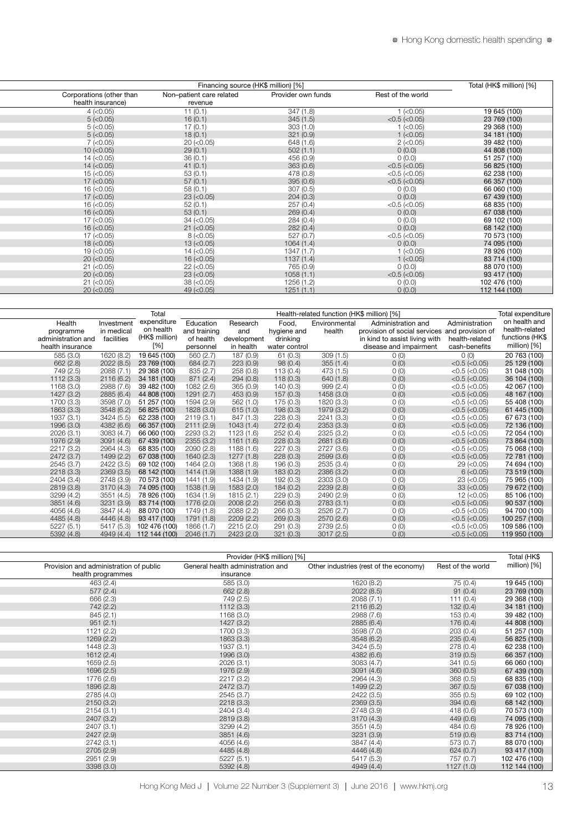|                          |                                     | Financing source (HK\$ million) [%] |                     | Total (HK\$ million) [%] |
|--------------------------|-------------------------------------|-------------------------------------|---------------------|--------------------------|
| Corporations (other than | Non-patient care related<br>revenue | Provider own funds                  | Rest of the world   |                          |
|                          | 11(0.1)                             | 347(1.8)                            | $1$ (<0.05)         | 19 645 (100)             |
|                          | 16(0.1)                             | 345(1.5)                            | $<$ 0.5 ( $<$ 0.05) | 23 769 (100)             |
|                          | 17(0.1)                             | 303(1.0)                            | $1$ (<0.05)         | 29 368 (100)             |
|                          | 18(0.1)                             | 321(0.9)                            | $1$ (<0.05)         | 34 181 (100)             |
|                          | $20$ ( $<$ 0.05)                    | 648 (1.6)                           | $2 (-0.05)$         | 39 482 (100)             |
|                          | 29(0.1)                             | 502(1.1)                            | 0(0.0)              | 44 808 (100)             |
|                          | 36(0.1)                             | 456 (0.9)                           | 0(0.0)              | 51 257 (100)             |
|                          | 41(0.1)                             | 363(0.6)                            | $<$ 0.5 ( $<$ 0.05) | 56 825 (100)             |
|                          | 53(0.1)                             | 478 (0.8)                           | $<$ 0.5 ( $<$ 0.05) | 62 238 (100)             |
|                          | 57(0.1)                             | 395(0.6)                            | $<$ 0.5 ( $<$ 0.05) | 66 357 (100)             |
|                          | 58(0.1)                             | 307(0.5)                            | 0(0.0)              | 66 060 (100)             |
|                          | $23 (-0.05)$                        | 204(0.3)                            | 0(0.0)              | 67 439 (100)             |
|                          | 52(0.1)                             | 257(0.4)                            | $<$ 0.5 ( $<$ 0.05) | 68 835 (100)             |
|                          | 53(0.1)                             | 269(0.4)                            | 0(0.0)              | 67 038 (100)             |
|                          | $34 (-0.05)$                        | 284(0.4)                            | O(0.0)              | 69 102 (100)             |
|                          | $21 (-0.05)$                        | 282(0.4)                            | 0(0.0)              | 68 142 (100)             |
|                          | $8$ ( $<$ 0.05)                     | 527 (0.7)                           | $<$ 0.5 ( $<$ 0.05) | 70 573 (100)             |
|                          | $13 (-0.05)$                        | 1064(1.4)                           | 0(0.0)              | 74 095 (100)             |
|                          | $14 (-0.05)$                        | 1347(1.7)                           | $1$ (<0.05)         | 78 926 (100)             |
|                          | $16$ ( $<$ 0.05)                    | 1137(1.4)                           | $1$ ( $<$ 0.05)     | 83 714 (100)             |
|                          | $22$ (<0.05)                        | 765 (0.9)                           | 0(0.0)              | 88 070 (100)             |
|                          | $23 (-0.05)$                        | 1058(1.1)                           | $<$ 0.5 ( $<$ 0.05) | 93 417 (100)             |
|                          | $38 (-0.05)$                        | 1256 (1.2)                          | O(0.0)              | 102 476 (100)            |
|                          | $49$ ( $< 0.05$ )                   | 1251(1.1)                           | 0(0.0)              | 112 144 (100)            |

|                    |            | Total                               |              |             |               |               | Health-related function (HK\$ million) [%]    |                     | Total expenditure |
|--------------------|------------|-------------------------------------|--------------|-------------|---------------|---------------|-----------------------------------------------|---------------------|-------------------|
| Health             | Investment | expenditure                         | Education    | Research    | Food,         | Environmental | Administration and                            | Administration      | on health and     |
| programme          | in medical | on health                           | and training | and         | hygiene and   | health        | provision of social services and provision of |                     | ealth-related     |
| administration and | facilities | (HK\$ million)                      | of health    | development | drinking      |               | in kind to assist living with                 | health-related      | unctions (HK\$    |
| health insurance   |            | [%]                                 | personne     | in health   | water control |               | disease and impairment                        | cash-benefits       | million) [%]      |
| 585 (3.0)          | 1620 (8.2) | 19 645 (100)                        | 560 (2.7)    | 187 (0.9)   | 61 (0.3)      | 309(1.5)      | O(0)                                          | 0(0)                | 20 763 (100)      |
| 662 (2.8)          | 2022(8.5)  | 23 769 (100)                        | 684 (2.7)    | 223(0.9)    | 98(0.4)       | 355(1.4)      | O(0)                                          | $<$ 0.5 ( $<$ 0.05) | 25 129 (100)      |
| 749 (2.5)          | 2088 (7.   | 29 368 (100)                        | 835 (2.7)    | 258(0.8)    | 113 (0.4)     | 473 (1.5)     | O(0)                                          | $<$ 0.5 ( $<$ 0.05) | 31 048 (100)      |
| 1112 (3.3)         | 2116 (6.2) | 34 181 (100)                        | 871(2.4)     | 294(0.8)    | 118(0.3)      | 640(1.8)      | O(0)                                          | $<$ 0.5 ( $<$ 0.05) | 36 104 (100)      |
| 1168 (3.0)         | 2988 (7.6) | 39 482 (100)                        | 1082 (2.6)   | 365 (0.9)   | 140(0.3)      | 999 (2.4)     | O(0)                                          | $<$ 0.5 ( $<$ 0.05) | 42 067 (100)      |
| 1427 (3.2)         | 2885 (6.4) | 44 808 (100)                        | 1291 (2.7)   | 453 (0.9)   | 157(0.3)      | 1458 (3.0)    | O(0)                                          | $<$ 0.5 ( $<$ 0.05) | 48 167 (100)      |
| 1700 (3.3)         | 3598 (7.0) | 51 257 (100)                        | 1594 (2.9)   | 562(1.0)    | 175 (0.3)     | 1820 (3.3)    | O(0)                                          | $<$ 0.5 ( $<$ 0.05) | 55 408 (100)      |
| 1863 (3.3)         | 3548 (6.2) | 56 825 (100)                        | 1828 (3.0)   | 615(1.0)    | 198(0.3)      | 1979 (3.2)    | 0(0)                                          | $<$ 0.5 ( $<$ 0.05) | 61 445 (100)      |
| 1937 (3.1)         | 3424 (5.5) | 62 238 (100)                        | 2119(3.1)    | 847 (1.3)   | 228(0.3)      | 2241 (3.3)    | O(0)                                          | $<$ 0.5 ( $<$ 0.05) | 67 673 (100)      |
| 1996 (3.0)         | 4382 (6.6) | 66 357 (100)                        | 2111 (2.9)   | 1043(1.4)   | 272(0.4)      | 2353 (3.3)    | O(0)                                          | $<$ 0.5 ( $<$ 0.05) | 72 136 (100)      |
| 2026(3.1)          | 3083 (4.7) | 66 060 (100)                        | 2293 (3.2)   | 1123 (1.6)  | 252(0.4)      | 2325 (3.2)    | O(0)                                          | $<$ 0.5 ( $<$ 0.05) | 72 054 (100)      |
| 1976 (2.9)         | 3091 (4.6) | 67 439 (100)                        | 2355 (3.2)   | 1161(1.6)   | 228(0.3)      | 2681 (3.6)    | O(0)                                          | $<$ 0.5 ( $<$ 0.05) | 73 864 (100)      |
| 2217 (3.2)         | 2964 (4.3) | 68 835 (100)                        | 2090(2.8)    | 1188 (1.6)  | 227(0.3)      | 2727 (3.6)    | O(0)                                          | $<$ 0.5 ( $<$ 0.05) | 75 068 (100)      |
| 2472 (3.7)         | 1499 (2.2) | 67 038 (100)                        | 1640 (2.3)   | 1277 (1.8)  | 228(0.3)      | 2599 (3.6)    | O(0)                                          | $<$ 0.5 ( $<$ 0.05) | 72 781 (100)      |
| 2545 (3.7)         | 2422 (3.5) | 69 102 (100)                        | 1464 (2.0)   | 1368 (1.8)  | 196 (0.3)     | 2535 (3.4)    | O(0)                                          | $29$ ( $< 0.05$ )   | 74 694 (100)      |
| 2218(3.3)          | 2369(3.5)  | 68 142 (100)                        | 1414 (1.9)   | 1388 (1.9)  | 183(0.2)      | 2386 (3.2)    | O(0)                                          | $6$ ( $<$ 0.05)     | 73 519 (100)      |
| 2404 (3.4)         | 2748 (3.9) | 70 573 (100)                        | 1441 (1.9)   | 1434 (1.9)  | 192 (0.3)     | 2303 (3.0)    | 0(0)                                          | $23 (-0.05)$        | 75 965 (100)      |
| 2819 (3.8)         | 3170(4.3)  | 74 095 (100)                        | 1538 (1.9)   | 1583 (2.0)  | 184(0.2)      | 2239(2.8)     | O(0)                                          | $33 (-0.05)$        | 79 672 (100)      |
| 3299 (4.2)         | 3551 (4.5) | 78 926 (100)                        | 1634 (1.9)   | 1815 (2.1   | 229(0.3)      | 2490 (2.9)    | O(0)                                          | $12 (-0.05)$        | 85 106 (100)      |
| 3851 (4.6)         | 3231 (3.9) | 83 714 (100)                        | 1776 (2.0)   | 2008(2.2)   | 256(0.3)      | 2783(3.1)     | 0(0)                                          | $<$ 0.5 ( $<$ 0.05) | 90 537 (100)      |
| 4056 (4.6)         | 3847 (4.4) | 88 070 (100)                        | 1749 (1.8)   | 2088 (2.2)  | 266(0.3)      | 2526 (2.7)    | O(0)                                          | $<$ 0.5 ( $<$ 0.05) | 94 700 (100)      |
| 4485 (4.8)         | 4446 (4.8) | 93 417 (100)                        | 1791 (1.8)   | 2209(2.2)   | 269(0.3)      | 2570 (2.6)    | 0(0)                                          | $<$ 0.5 ( $<$ 0.05) | 100 257 (100)     |
| 5227(5.1)          | 5417 (5.3) | 102 476 (100)                       | 1866 (1.7)   | 2215 (2.0)  | 291(0.3)      | 2739 (2.5)    | 0(0)                                          | $<$ 0.5 ( $<$ 0.05) | 109 586 (100)     |
| 5392 (4.8)         |            | 4949 (4.4) 112 144 (100) 2046 (1.7) |              | 2423 (2.0)  | 321(0.3)      | 3017(2.5)     | O(0)                                          | $<$ 0.5 ( $<$ 0.05) | 119 950 (100)     |

|                                        | Provider (HK\$ million) [%]       |                                        |                   | Total (HK\$   |
|----------------------------------------|-----------------------------------|----------------------------------------|-------------------|---------------|
| Provision and administration of public | General health administration and | Other industries (rest of the economy) | Rest of the world | million) [%]  |
| health programmes                      | insurance                         |                                        |                   |               |
| 463 (2.4)                              | 585 (3.0)                         | 1620 (8.2)                             | 75 (0.4)          | 19 645 (100)  |
| 577(2.4)                               | 662 (2.8)                         | 2022 (8.5)                             | 91(0.4)           | 23 769 (100)  |
| 666 (2.3)                              | 749 (2.5)                         | 2088 (7.1)                             | 111(0.4)          | 29 368 (100)  |
| 742 (2.2)                              | 1112(3.3)                         | 2116(6.2)                              | 132(0.4)          | 34 181 (100)  |
| 845 (2.1)                              | 1168 (3.0)                        | 2988 (7.6)                             | 153(0.4)          | 39 482 (100)  |
| 951(2.1)                               | 1427 (3.2)                        | 2885 (6.4)                             | 176 (0.4)         | 44 808 (100)  |
| 1121 (2.2)                             | 1700 (3.3)                        | 3598 (7.0)                             | 203(0.4)          | 51 257 (100)  |
| 1269 (2.2)                             | 1863 (3.3)                        | 3548 (6.2)                             | 235(0.4)          | 56 825 (100)  |
| 1448 (2.3)                             | 1937 (3.1)                        | 3424(5.5)                              | 278 (0.4)         | 62 238 (100)  |
| 1612(2.4)                              | 1996 (3.0)                        | 4382 (6.6)                             | 319(0.5)          | 66 357 (100)  |
| 1659 (2.5)                             | 2026 (3.1)                        | 3083 (4.7)                             | 341(0.5)          | 66 060 (100)  |
| 1696 (2.5)                             | 1976 (2.9)                        | 3091 (4.6)                             | 360(0.5)          | 67 439 (100)  |
| 1776 (2.6)                             | 2217 (3.2)                        | 2964 (4.3)                             | 368 (0.5)         | 68 835 (100)  |
| 1896 (2.8)                             | 2472 (3.7)                        | 1499 (2.2)                             | 367(0.5)          | 67 038 (100)  |
| 2785 (4.0)                             | 2545 (3.7)                        | 2422 (3.5)                             | 355 (0.5)         | 69 102 (100)  |
| 2150(3.2)                              | 2218 (3.3)                        | 2369(3.5)                              | 394(0.6)          | 68 142 (100)  |
| 2154(3.1)                              | 2404 (3.4)                        | 2748 (3.9)                             | 418(0.6)          | 70 573 (100)  |
| 2407 (3.2)                             | 2819 (3.8)                        | 3170 (4.3)                             | 449 (0.6)         | 74 095 (100)  |
| 2407 (3.1)                             | 3299 (4.2)                        | 3551 (4.5)                             | 484 (0.6)         | 78 926 (100)  |
| 2427 (2.9)                             | 3851 (4.6)                        | 3231 (3.9)                             | 519(0.6)          | 83 714 (100)  |
| 2742 (3.1)                             | 4056 (4.6)                        | 3847 (4.4)                             | 573 (0.7)         | 88 070 (100)  |
| 2705 (2.9)                             | 4485 (4.8)                        | 4446 (4.8)                             | 624(0.7)          | 93 417 (100)  |
| 2951 (2.9)                             | 5227(5.1)                         | 5417 (5.3)                             | 757 (0.7)         | 102 476 (100) |
| 3398 (3.0)                             | 5392(4.8)                         | 4949 (4.4)                             | 1127(1.0)         | 112 144 (100) |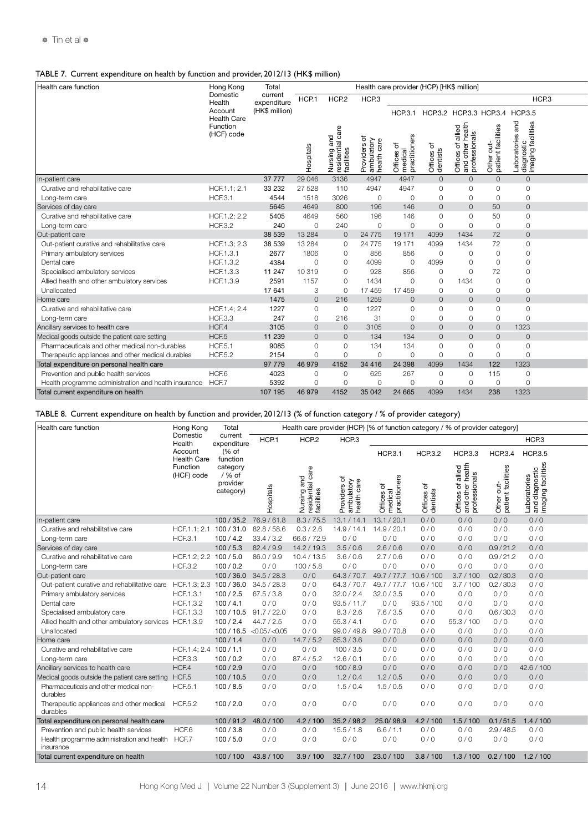### TABLE 7. Current expenditure on health by function and provider, 2012/13 (HK\$ million)

| Health care function                                       | Hong Kong                     | Total                 |               |                         |                                    | Health care provider (HCP) [HK\$ million] |                                     |                      |                        |                                              |  |
|------------------------------------------------------------|-------------------------------|-----------------------|---------------|-------------------------|------------------------------------|-------------------------------------------|-------------------------------------|----------------------|------------------------|----------------------------------------------|--|
|                                                            | Domestic<br>Health            | curren<br>expenditure | HCP.1         | HCP <sub>2</sub>        | HCP <sub>3</sub>                   |                                           |                                     |                      |                        | HCP <sub>3</sub>                             |  |
|                                                            | Account<br><b>Health Care</b> | (HK\$ million)        |               |                         |                                    | <b>HCP.3.1</b>                            |                                     |                      |                        | HCP.3.2 HCP.3.3 HCP.3.4 HCP.3.5              |  |
|                                                            | Function<br>(HCF) code        |                       |               | sing and<br>idential ca | $\circ$ $\rightarrow$ $\circ$<br>1 |                                           | ৯<br>ices c<br><sub>1</sub><br>ists | es of<br>other<br>္တ | r out-<br>nt facilitie | ೯<br>۹itie<br>oratorie<br>gnostic<br>ging fa |  |
| In-patient care                                            |                               | 37 7 7 7 7            | 29 0 46       | 3136                    | 4947                               | 4947                                      |                                     |                      |                        | $\cap$                                       |  |
| Curative and rehabilitative care                           | HCF.1.1; 2.1                  | 33 232                | 27 5 28       | 110                     | 4947                               | 4947                                      |                                     |                      |                        | $\Omega$                                     |  |
| Long-term care                                             | <b>HCF.3.1</b>                | 4544                  | 1518          | 3026                    | $\circ$                            | $\Omega$                                  | $\Omega$                            | $\Omega$             | $\Omega$               | $\cap$                                       |  |
| Services of day care                                       |                               | 5645                  | 4649          | 800                     | 196                                | 146                                       | $\sqrt{ }$                          |                      | 50                     | $\cap$                                       |  |
| Curative and rehabilitative care                           | HCF.1.2; 2.2                  | 5405                  | 4649          | 560                     | 196                                | 146                                       | $\Omega$                            |                      | 50                     |                                              |  |
| Long-term care                                             | <b>HCF.3.2</b>                | 240                   | $\cap$        | 240                     | $\cap$                             |                                           | $\cap$                              |                      | $\cap$                 |                                              |  |
| Out-patient care                                           |                               | 38 539                | 13 2 8 4      | $\overline{0}$          | 24 7 7 5                           | 19 171                                    | 4099                                | 1434                 | 72                     | $\cap$                                       |  |
| Out-patient curative and rehabilitative care               | HCF.1.3; 2.3                  | 38 539                | 13 2 8 4      | $\Omega$                | 24 7 7 5                           | 19 171                                    | 4099                                | 1434                 | 72                     |                                              |  |
| Primary ambulatory services                                | HCF.1.3.1                     | 2677                  | 1806          | $\overline{0}$          | 856                                | 856                                       | $\Omega$                            |                      | $\Omega$               | $\cap$                                       |  |
| Dental care                                                | HCF.1.3.2                     | 4384                  | $\cap$        | $\Omega$                | 4099                               | $\Omega$                                  | 4099                                | $\cap$               | $\Omega$               | $\cap$                                       |  |
| Specialised ambulatory services                            | HCF.1.3.3                     | 11 247                | 10319         | $\Omega$                | 928                                | 856                                       | $\Omega$                            |                      | 72                     | $\cap$                                       |  |
| Allied health and other ambulatory services                | HCF.1.3.9                     | 2591                  | 1157          | $\Omega$                | 1434                               | $\Omega$                                  | $\Omega$                            | 1434                 | $\Omega$               |                                              |  |
| Unallocated                                                |                               | 17641                 | $\mathcal{R}$ | $\Omega$                | 17 459                             | 17 459                                    | $\Omega$                            | $\cap$               | $\cap$                 |                                              |  |
| Home care                                                  |                               | 1475                  | $\Omega$      | 216                     | 1259                               |                                           | $\sqrt{ }$                          |                      |                        |                                              |  |
| Curative and rehabilitative care                           | HCF.1.4; 2.4                  | 1227                  | $\cap$        |                         | 1227                               |                                           |                                     |                      |                        |                                              |  |
| Long-term care                                             | <b>HCF.3.3</b>                | 247                   | $\Omega$      | 216                     | 31                                 | $\cap$                                    | $\Omega$                            |                      |                        | $\cap$                                       |  |
| Ancillary services to health care                          | HCF.4                         | 3105                  |               |                         | 3105                               | $\cap$                                    |                                     |                      |                        | 1323                                         |  |
| Medical goods outside the patient care setting             | HCF.5                         | 11 239                |               |                         | 134                                | 134                                       |                                     |                      |                        |                                              |  |
| Pharmaceuticals and other medical non-durables             | <b>HCF.5.1</b>                | 9085                  | $\cap$        |                         | 134                                | 134                                       | ∩                                   |                      |                        | $\Omega$                                     |  |
| Therapeutic appliances and other medical durables          | <b>HCF.5.2</b>                | 2154                  |               |                         | $\cap$                             |                                           | $\cap$                              |                      | $\cap$                 | $\cap$                                       |  |
| Total expenditure on personal health care                  |                               | 97 779                | 46979         | 4152                    | 34 4 16                            | 24 3 98                                   | 4099                                | 1434                 | 122                    | 1323                                         |  |
| Prevention and public health services                      | HCF.6                         | 4023                  |               |                         | 625                                | 267                                       |                                     |                      | 115                    | $\Omega$                                     |  |
| Health programme administration and health insurance HCF.7 |                               | 5392                  |               |                         | $\cap$                             |                                           | C                                   |                      | $\cap$                 | $\cap$                                       |  |
| Total current expenditure on health                        |                               | 107 195               | 46 979        | 4152                    | 35 042                             | 24 6 65                                   | 4099                                | 1434                 | 238                    | 1323                                         |  |

### TABLE 8. Current expenditure on health by function and provider, 2012/13 (% of function category / % of provider category)

| Health care function                                                 | Hong Kong              | Total                                      |                        |                   |                  | Health care provider (HCP) [% of function category / % of provider category] |               |                |                                 |                                                |  |
|----------------------------------------------------------------------|------------------------|--------------------------------------------|------------------------|-------------------|------------------|------------------------------------------------------------------------------|---------------|----------------|---------------------------------|------------------------------------------------|--|
|                                                                      | Domestic<br>Health     | curren<br>expenditure                      | HCP.1                  | HCP <sub>2</sub>  | HCP <sub>3</sub> |                                                                              |               |                |                                 | HCP <sub>3</sub>                               |  |
|                                                                      | Account                | (% of                                      |                        |                   |                  | HCP.3.                                                                       | <b>HCP3.2</b> | <b>HCP.3.3</b> | <b>HCP.3.4</b>                  | <b>HCP3.5</b>                                  |  |
|                                                                      | <b>Health Care</b>     | function                                   |                        |                   |                  |                                                                              |               |                |                                 |                                                |  |
|                                                                      | Function<br>(HCF) code | category<br>/ % of<br>provider<br>category |                        | 70 Ö<br>ಹ ಕ<br>つだ |                  | ५ ≔                                                                          | ರ ಕಿ          | ∈ ರ            | rout<br>ពt ខែ                   | Laboratories<br>and diagnost<br>imaging facili |  |
| In-patient care                                                      |                        |                                            | 100 / 35.2 76.9 / 61.8 | 8.3 / 75.5        | 13.1 / 14.1      | 13.1 / 20.1                                                                  | 0/0           | 0/0            | 0/0                             | 0/0                                            |  |
| Curative and rehabilitative care                                     | HCF.1.1; 2.1           | 100 / 31.0                                 | 82.8 / 58.6            | 0.3 / 2.6         | 14.9/14.1        | 14.9 / 20.                                                                   | 0/0           | 0/0            | 0/0                             | 0/0                                            |  |
| Long-term care                                                       | <b>HCF.3.1</b>         | 100/4.2                                    | 33.4 / 3.2             | 66.6 / 72.9       | 0/0              | 0/0                                                                          | 0/0           | 0/0            | 0/0                             | 0/0                                            |  |
| Services of day care                                                 |                        | 100/5.3                                    | 82.4/9.9               | 14.2/19.3         | 3.5/0.6          | 2.6/0.6                                                                      | 0/0           | 0/0            | 0.9/21.2                        | 0/0                                            |  |
| Curative and rehabilitative care                                     | HCF.1.2; 2.2 100 / 5.0 |                                            | 86.0/9.9               | 10.4 / 13.5       | 3.6/0.6          | 2.7/0.6                                                                      | 0/0           | 0/0            | 0.9 / 21.2                      | 0/0                                            |  |
| Long-term care                                                       | <b>HCF.3.2</b>         | 100/0.2                                    | 0/0                    | 100/5.8           | 0/0              | 0/0                                                                          | 0/0           | 0/0            | 0/0                             | 0/0                                            |  |
| Out-patient care                                                     |                        |                                            | 100 / 36.0 34.5 / 28.3 | 0/0               | 64.3/70.7        | 49.7/77.7                                                                    | 10.6 / 100    | 3.7/100        | 0.2 / 30.3                      | 0/0                                            |  |
| Out-patient curative and rehabilitative care HCF.1.3; 2.3 100 / 36.0 |                        |                                            | 34.5 / 28.3            | 0/0               | 64.3/70.7        | 49.7 / 77.7                                                                  | 10.6 / 100    | 3.7/100        | 0.2 / 30.3                      | 0/0                                            |  |
| Primary ambulatory services                                          | HCF.1.3.1              | 100 / 2.5                                  | 67.5 / 3.8             | 0/0               | 32.0 / 2.4       | 32.0 / 3.5                                                                   | 0/0           | 0/0            | 0/0                             | 0/0                                            |  |
| Dental care                                                          | HCF.1.3.2              | 100/4.1                                    | 0/0                    | 0/0               | 93.5 / 11.7      | 0/0                                                                          | 93.5 / 100    | 0/0            | 0/0                             | 0/0                                            |  |
| Specialised ambulatory care                                          | HCF.1.3.3              | 100/10.5                                   | 91.7 / 22.0            | 0/0               | 8.3 / 2.6        | 7.6/3.5                                                                      | 0/0           | 0/0            | 0.6 / 30.3                      | 0/0                                            |  |
| Allied health and other ambulatory services HCF.1.3.9                |                        | 100 / 2.4                                  | 44.7 / 2.5             | 0/0               | 55.3 / 4.1       | 0/0                                                                          | 0/0           | 55.3 / 100     | 0/0                             | 0/0                                            |  |
| Unallocated                                                          |                        | 100/16.5                                   | $<$ 0.05 / $<$ 0.05    | 0/0               | 99.0 / 49.8      | 99.0 / 70.8                                                                  | 0/0           | 0/0            | 0/0                             | 0/0                                            |  |
| Home care                                                            |                        | 100/1.4                                    | 0/0                    | 14.7/5.2          | 85.3/3.6         | 0/0                                                                          | 0/0           | 0/0            | 0/0                             | 0/0                                            |  |
| Curative and rehabilitative care                                     | HCF.1.4; 2.4 100 / 1.  |                                            | 0/0                    | 0/0               | 100/3.5          | 0/0                                                                          | 0/0           | 0/0            | 0/0                             | 0/0                                            |  |
| Long-term care                                                       | <b>HCF.3.3</b>         | 100/0.2                                    | 0/0                    | 87.4 / 5.2        | 12.6 / 0.7       | 0/0                                                                          | 0/0           | 0/0            | 0/0                             | 0/0                                            |  |
| Ancillary services to health care                                    | HCF.4                  | 100 / 2.9                                  | 0/0                    | 0/0               | 100/8.9          | 0/0                                                                          | 0/0           | 0/0            | 0/0                             | 42.6 / 100                                     |  |
| Medical goods outside the patient care setting HCF.5                 |                        | 100/10.5                                   | 0/0                    | 0/0               | 1.2 / 0.4        | 1.2 / 0.5                                                                    | 0/0           | 0/0            | 0/0                             | 0/0                                            |  |
| Pharmaceuticals and other medical non-<br>durables                   | HCF.5.                 | 100/8.5                                    | 0/0                    | 0/0               | 1.5/0.4          | 1.5/0.5                                                                      | 0/0           | 0/0            | 0/0                             | 0/0                                            |  |
| Therapeutic appliances and other medical HCF.5.2<br>durables         |                        | 100 / 2.0                                  | 0/0                    | 0/0               | 0/0              | 0/0                                                                          | 0/0           | 0/0            | 0/0                             | 0/0                                            |  |
| Total expenditure on personal health care                            |                        | 100/91.2                                   | 48.0 / 100             | 4.2/100           | 35.2 / 98.2      | 25.0/98.9                                                                    | 4.2/100       | 1.5/100        | 0.1 / 51.5                      | 1.4 / 100                                      |  |
| Prevention and public health services                                | HCF.6                  | 100/3.8                                    | 0/0                    | 0/0               | 15.5 / 1.8       | 6.6/1.1                                                                      | 0/0           | 0/0            | 2.9 / 48.5                      | 0/0                                            |  |
| Health programme administration and health HCF.7<br>insurance        |                        | 100/5.0                                    | 0/0                    | 0/0               | 0/0              | 0/0                                                                          | 0/0           | 0/0            | 0/0                             | 0/0                                            |  |
| Total current expenditure on health                                  |                        | 100/100                                    | 43.8 / 100             | 3.9 / 100         |                  | 32.7 / 100 23.0 / 100                                                        | 3.8 / 100     |                | $1.3 / 100$ 0.2 / 100 1.2 / 100 |                                                |  |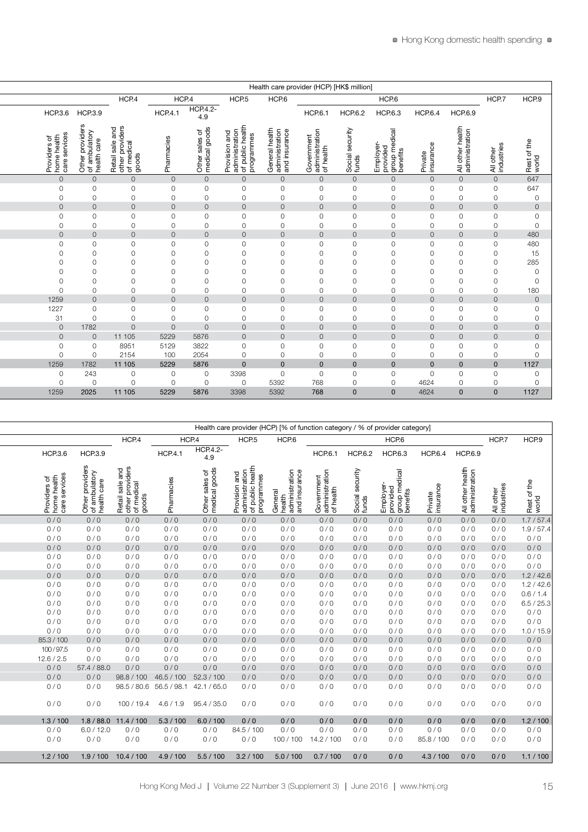|                                                                                                             | Health care provider (HCP) [HK\$ million]                              |                                                                                                                             |                                     |  |  |  |  |  |  |  |  |  |
|-------------------------------------------------------------------------------------------------------------|------------------------------------------------------------------------|-----------------------------------------------------------------------------------------------------------------------------|-------------------------------------|--|--|--|--|--|--|--|--|--|
|                                                                                                             | HCP.7                                                                  | HCP.6                                                                                                                       | HCP.9                               |  |  |  |  |  |  |  |  |  |
| HCP.3.6 HCP.3.9                                                                                             | <b>HCP.6.9</b>                                                         | <b>HCP.6.3</b><br><b>HCP.6.4</b><br><b>HCP.6.2</b>                                                                          |                                     |  |  |  |  |  |  |  |  |  |
| Other providers<br>of ambulatory<br>Providers of<br>home health<br>care services<br>care<br>$\frac{4}{100}$ | health<br>ation<br>All other h<br>administra<br>All other<br>industrie | ₽<br>ਨ<br>ployer<br>Invided<br>Inn me<br>provided<br>group m<br>benefits<br>Private<br>insurano<br>Social <sub>s</sub><br>面 | $\Rightarrow$<br>Rest of 1<br>world |  |  |  |  |  |  |  |  |  |
| $\overline{O}$<br>$\Omega$                                                                                  | $\overline{0}$<br>$\circ$                                              | $\mathbf{0}$<br>$\overline{0}$<br>$\circ$                                                                                   | 647                                 |  |  |  |  |  |  |  |  |  |
|                                                                                                             | $\circ$<br>$\mathbf{0}$                                                | $\circ$                                                                                                                     | 647                                 |  |  |  |  |  |  |  |  |  |
|                                                                                                             | $\Omega$<br>$\Omega$                                                   | 0                                                                                                                           |                                     |  |  |  |  |  |  |  |  |  |
| $\cap$                                                                                                      | $\Omega$<br>$\Omega$                                                   | $\Omega$<br>$\cap$                                                                                                          | $\circ$                             |  |  |  |  |  |  |  |  |  |
|                                                                                                             | $\mathbf 0$                                                            | $\Omega$                                                                                                                    |                                     |  |  |  |  |  |  |  |  |  |
|                                                                                                             | $\Omega$<br>$\cap$                                                     |                                                                                                                             |                                     |  |  |  |  |  |  |  |  |  |
|                                                                                                             | $\Omega$<br>$\Omega$                                                   | $\Omega$<br>$\cap$                                                                                                          | 480                                 |  |  |  |  |  |  |  |  |  |
| $\Omega$                                                                                                    | $\mathsf{O}\xspace$<br>$\mathbf 0$                                     | $\circ$                                                                                                                     | 480                                 |  |  |  |  |  |  |  |  |  |
|                                                                                                             | $\circ$<br>$\Omega$                                                    |                                                                                                                             | $15\,$                              |  |  |  |  |  |  |  |  |  |
| $\cap$                                                                                                      | $\mathsf{O}\xspace$<br>$\mathbf{0}$                                    | $\cap$                                                                                                                      | 285                                 |  |  |  |  |  |  |  |  |  |
|                                                                                                             | $\overline{O}$                                                         |                                                                                                                             | $\circ$                             |  |  |  |  |  |  |  |  |  |
|                                                                                                             | $\mathbf 0$                                                            |                                                                                                                             | $\circ$                             |  |  |  |  |  |  |  |  |  |
|                                                                                                             | $\Omega$<br>$\Omega$                                                   |                                                                                                                             | 180                                 |  |  |  |  |  |  |  |  |  |
| 1259                                                                                                        | $\Omega$<br>$\Omega$                                                   | $\overline{O}$<br>$\cap$                                                                                                    | $\circ$                             |  |  |  |  |  |  |  |  |  |
| 1227<br>$\circ$                                                                                             | $\circ$                                                                | $\mathbf 0$                                                                                                                 | 0                                   |  |  |  |  |  |  |  |  |  |
| 31<br>$\cap$                                                                                                | $\circ$<br>$\Omega$                                                    | $\Omega$                                                                                                                    | $\circ$                             |  |  |  |  |  |  |  |  |  |
| 1782<br>$\overline{O}$                                                                                      |                                                                        | $\Omega$                                                                                                                    | $\circ$                             |  |  |  |  |  |  |  |  |  |
| $\overline{O}$                                                                                              | $\Omega$<br>$\Omega$                                                   | $\Omega$<br>$\Omega$                                                                                                        | $\circ$                             |  |  |  |  |  |  |  |  |  |
|                                                                                                             | $\mathbf 0$<br>$\Omega$                                                | 0                                                                                                                           |                                     |  |  |  |  |  |  |  |  |  |
|                                                                                                             | $\overline{0}$<br>$\Omega$                                             | $\Omega$<br>$\cap$                                                                                                          | $\circ$                             |  |  |  |  |  |  |  |  |  |
| 1259<br>1782                                                                                                | $\Omega$<br>$\Omega$                                                   | $\Omega$<br>$\Omega$<br>$\Omega$                                                                                            | 1127                                |  |  |  |  |  |  |  |  |  |
| 243                                                                                                         | $\circ$<br>$\Omega$                                                    | $\circ$<br>$\cap$                                                                                                           | $\circ$                             |  |  |  |  |  |  |  |  |  |
| $\cap$                                                                                                      | $\Omega$<br>$\Omega$                                                   | 4624<br>$\Omega$<br>$\cap$                                                                                                  | $\Omega$                            |  |  |  |  |  |  |  |  |  |
| 1259<br>2025                                                                                                | $\Omega$<br>$\Omega$                                                   | 4624<br>$\Omega$<br>$\Omega$                                                                                                | 1127                                |  |  |  |  |  |  |  |  |  |
|                                                                                                             |                                                                        |                                                                                                                             |                                     |  |  |  |  |  |  |  |  |  |

| Health care provider (HCP) [% of function category / % of provider category]                                                                                                                                                                                                                                                                                                                                                             |                                                                                     |                         |  |  |  |  |  |  |  |  |
|------------------------------------------------------------------------------------------------------------------------------------------------------------------------------------------------------------------------------------------------------------------------------------------------------------------------------------------------------------------------------------------------------------------------------------------|-------------------------------------------------------------------------------------|-------------------------|--|--|--|--|--|--|--|--|
| HCP.4<br>HCP.4<br>HCP.6<br>HCP <sub>5</sub><br>HCP.6                                                                                                                                                                                                                                                                                                                                                                                     | HCP.7                                                                               | HCP.9                   |  |  |  |  |  |  |  |  |
| <b>HCP.4.2-</b><br><b>HCP.4.1</b><br>HCP.3.9<br><b>HCP.6.1</b><br><b>HCP.6.2</b><br><b>HCP.6.3</b><br>4.9                                                                                                                                                                                                                                                                                                                                | <b>HCP.6.4</b><br><b>HCP.6.9</b>                                                    |                         |  |  |  |  |  |  |  |  |
| and<br>ders<br>and<br>ation<br>health<br>urity<br>dical<br>sales of<br>al goods<br>ation<br>ance<br>Other provider<br>of ambulatory<br>health care<br>Government<br>administratior<br>of health<br>provi<br>dical<br>ogramr<br>rrovision<br>administra<br>of public H<br>General<br>health<br>administra<br>and insur<br>တ္တ<br>es<br>Pe⊝<br>Social<br>funds<br>Empio<br>Provide<br>Senefit<br>Denefit<br>Other<br>medic<br>è gö<br>동등 흥 | All other health<br>administration<br>All other<br>industries<br>Private<br>insuran | £<br>Rest of 1<br>world |  |  |  |  |  |  |  |  |
| 0/0<br>0/0<br>0/0<br>0/0<br>0/0<br>0/0<br>0/0<br>0/0<br>0/0                                                                                                                                                                                                                                                                                                                                                                              | 0/0<br>0/0<br>0/0                                                                   | 1.7 / 57.4              |  |  |  |  |  |  |  |  |
| 0/0<br>0/0<br>0/0<br>0/0<br>0/0<br>0/0<br>0/0<br>0/0<br>0/0                                                                                                                                                                                                                                                                                                                                                                              | 0/0<br>0/0<br>0/0                                                                   | 1.9 / 57.4              |  |  |  |  |  |  |  |  |
| 0/0<br>0/0<br>0/0<br>0/0<br>0/0<br>0/0<br>0/0<br>0/0<br>0/0                                                                                                                                                                                                                                                                                                                                                                              | 0/0<br>0/0<br>0/0                                                                   | 0/0                     |  |  |  |  |  |  |  |  |
| 0/0<br>0/0<br>0/0<br>0/0<br>0/0<br>0/0<br>0/0<br>0/0<br>0/0                                                                                                                                                                                                                                                                                                                                                                              | 0/0<br>0/0<br>0/0                                                                   | 0/0                     |  |  |  |  |  |  |  |  |
| 0/0<br>0/0<br>0/0<br>0/0<br>0/0<br>0/0<br>0/0<br>0/0<br>0/0                                                                                                                                                                                                                                                                                                                                                                              | 0/0<br>0/0<br>0/0                                                                   | 0/0                     |  |  |  |  |  |  |  |  |
| 0/0<br>0/0<br>0/0<br>0/0<br>0/0<br>0/0<br>0/0<br>0/0<br>0/0                                                                                                                                                                                                                                                                                                                                                                              | 0/0<br>0/0<br>0/0                                                                   | 0/0                     |  |  |  |  |  |  |  |  |
| 0/0<br>0/0<br>0/0<br>0/0<br>0/0<br>0/0<br>0/0<br>0/0<br>0/0                                                                                                                                                                                                                                                                                                                                                                              | 0/0<br>0/0<br>0/0                                                                   | 1.2 / 42.6              |  |  |  |  |  |  |  |  |
| 0/0<br>0/0<br>0/0<br>0/0<br>0/0<br>0/0<br>0/0<br>0/0<br>0/0                                                                                                                                                                                                                                                                                                                                                                              | 0/0<br>0/0<br>0/0                                                                   | 1.2 / 42.6              |  |  |  |  |  |  |  |  |
| 0/0<br>0/0<br>0/0<br>0/0<br>0/0<br>0/0<br>0/0<br>0/0<br>0/0                                                                                                                                                                                                                                                                                                                                                                              | 0/0<br>0/0<br>0/0                                                                   | 0.6 / 1.4               |  |  |  |  |  |  |  |  |
| 0/0<br>0/0<br>0/0<br>0/0<br>0/0<br>0/0<br>0/0<br>0/0<br>0/0                                                                                                                                                                                                                                                                                                                                                                              | 0/0<br>0/0<br>0/0                                                                   | 6.5 / 25.3              |  |  |  |  |  |  |  |  |
| 0/0<br>0/0<br>0/0<br>0/0<br>0/0<br>0/0<br>0/0<br>0/0<br>0/0                                                                                                                                                                                                                                                                                                                                                                              | 0/0<br>0/0<br>0/0                                                                   | 0/0                     |  |  |  |  |  |  |  |  |
| 0/0<br>0/0<br>0/0<br>0/0<br>0/0<br>0/0<br>0/0<br>0/0<br>0/0                                                                                                                                                                                                                                                                                                                                                                              | 0/0<br>0/0<br>0/0                                                                   | 0/0                     |  |  |  |  |  |  |  |  |
| 0/0<br>0/0<br>0/0<br>0/0<br>0/0<br>0/0<br>0/0<br>0/0<br>0/0                                                                                                                                                                                                                                                                                                                                                                              | 0/0<br>0/0<br>0/0                                                                   | 1.0 / 15.9              |  |  |  |  |  |  |  |  |
| 0/0<br>0/0<br>0/0<br>0/0<br>0/0<br>0/0<br>0/0<br>0/0<br>0/0                                                                                                                                                                                                                                                                                                                                                                              | 0/0<br>0/0<br>0/0                                                                   | 0/0                     |  |  |  |  |  |  |  |  |
| 0/0<br>0/0<br>0/0<br>0/0<br>0/0<br>0/0<br>0/0<br>0/0<br>0/0                                                                                                                                                                                                                                                                                                                                                                              | 0/0<br>0/0<br>0/0                                                                   | 0/0                     |  |  |  |  |  |  |  |  |
| 0/0<br>0/0<br>0/0<br>0/0<br>0/0<br>0/0<br>0/0<br>0/0<br>0/0                                                                                                                                                                                                                                                                                                                                                                              | 0/0<br>0/0<br>0/0                                                                   | 0/0                     |  |  |  |  |  |  |  |  |
| 0/0<br>57.4 / 88.0<br>0/0<br>0/0<br>0/0<br>0/0<br>0/0<br>0/0<br>0/0                                                                                                                                                                                                                                                                                                                                                                      | 0/0<br>0/0<br>0/0                                                                   | 0/0                     |  |  |  |  |  |  |  |  |
| 52.3 / 100<br>98.8 / 100<br>46.5 / 100<br>0/0<br>0/0<br>0/0<br>0/0<br>0/0<br>0/0                                                                                                                                                                                                                                                                                                                                                         | 0/0<br>0/0<br>0/0                                                                   | 0/0                     |  |  |  |  |  |  |  |  |
| 98.5 / 80.6 56.5 / 98.1 42.1 / 65.0<br>0/0<br>0/0<br>0/0<br>0/0<br>0/0<br>0/0                                                                                                                                                                                                                                                                                                                                                            | 0/0<br>0/0<br>0/0                                                                   | 0/0                     |  |  |  |  |  |  |  |  |
| 100 / 19.4<br>0/0<br>4.6/1.9<br>95.4 / 35.0<br>0/0<br>0/0<br>0/0<br>0/0<br>0/0                                                                                                                                                                                                                                                                                                                                                           | 0/0<br>0/0<br>0/0                                                                   | 0/0                     |  |  |  |  |  |  |  |  |
| $1.8 / 88.0$ 11.4 / 100<br>5.3 / 100<br>6.0 / 100<br>0/0<br>0/0<br>0/0<br>0/0<br>0/0                                                                                                                                                                                                                                                                                                                                                     | 0/0<br>0/0<br>0/0                                                                   | 1.2 / 100               |  |  |  |  |  |  |  |  |
| 6.0 / 12.0<br>84.5 / 100<br>0/0<br>0/0<br>0/0<br>0/0<br>0/0<br>0/0<br>0/0                                                                                                                                                                                                                                                                                                                                                                | 0/0<br>0/0<br>0/0                                                                   | 0/0                     |  |  |  |  |  |  |  |  |
| 0/0<br>0/0<br>0/0<br>0/0<br>0/0<br>0/0<br>100 / 100<br>14.2 / 100<br>0/0                                                                                                                                                                                                                                                                                                                                                                 | 85.8 / 100<br>0/0<br>0/0                                                            | 0/0                     |  |  |  |  |  |  |  |  |
| 1.9/100 10.4/100<br>4.9 / 100<br>5.5/100<br>3.2 / 100<br>5.0/100 0.7/100<br>0/0<br>0/0                                                                                                                                                                                                                                                                                                                                                   | 4.3 / 100<br>0/0<br>0/0                                                             | 1.1 / 100               |  |  |  |  |  |  |  |  |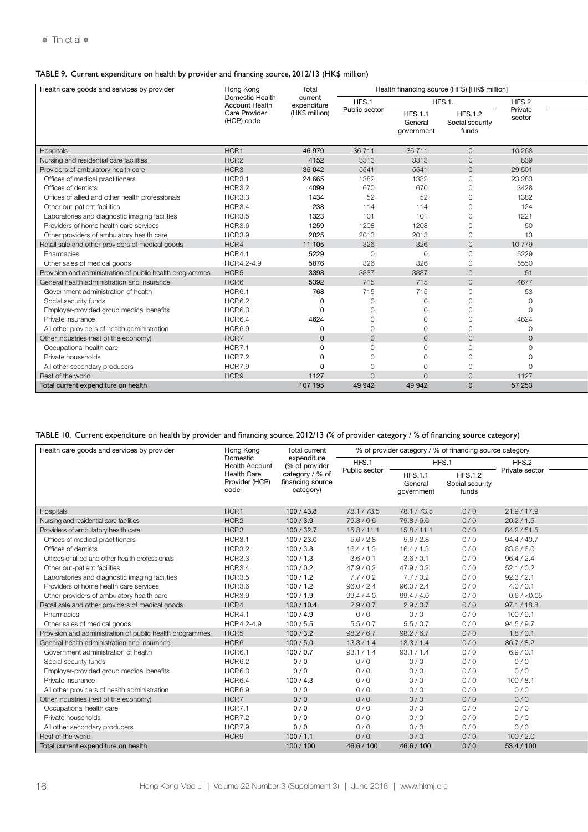### TABLE 9. Current expenditure on health by provider and financing source, 2012/13 (HK\$ million)

| Health care goods and services by provider               | Hong Kong                                | Total                  |               |                                        | Health financing source (HFS) [HK\$ million] |                   |  |
|----------------------------------------------------------|------------------------------------------|------------------------|---------------|----------------------------------------|----------------------------------------------|-------------------|--|
|                                                          | Domestic Health<br><b>Account Health</b> | current<br>expenditure | HFS.1         |                                        | HFS.1.                                       | HFS.2             |  |
|                                                          | Care Provider<br>(HCP) code              | (HK\$ million)         | Public sector | <b>HFS.1.1</b><br>Genera<br>government | <b>HFS.1.2</b><br>Social security<br>funds   | Private<br>sector |  |
| Hospitals                                                | HCP.1                                    | 46 979                 | 36711         | 36711                                  | $\cap$                                       | 10 268            |  |
| Nursing and residential care facilities                  | HCP.2                                    | 4152                   | 3313          | 3313                                   | $\Omega$                                     | 839               |  |
| Providers of ambulatory health care                      | HCP.3                                    | 35 042                 | 5541          | 5541                                   | $\Omega$                                     | 29 501            |  |
| Offices of medical practitioners                         | <b>HCP.3.1</b>                           | 24 665                 | 1382          | 1382                                   | $\Omega$                                     | 23 28 3           |  |
| Offices of dentists                                      | <b>HCP.3.2</b>                           | 4099                   | 670           | 670                                    | $\cap$                                       | 3428              |  |
| Offices of allied and other health professionals         | <b>HCP.3.3</b>                           | 1434                   | 52            | 52                                     |                                              | 1382              |  |
| Other out-patient facilities                             | <b>HCP.3.4</b>                           | 238                    | 114           | 114                                    |                                              | 124               |  |
| Laboratories and diagnostic imaging facilities           | <b>HCP.3.5</b>                           | 1323                   | 101           | 101                                    |                                              | 1221              |  |
| Providers of home health care services                   | <b>HCP.3.6</b>                           | 1259                   | 1208          | 1208                                   |                                              | 50                |  |
| Other providers of ambulatory health care                | <b>HCP.3.9</b>                           | 2025                   | 2013          | 2013                                   |                                              | 13                |  |
| Retail sale and other providers of medical goods         | HCP.4                                    | 11 105                 | 326           | 326                                    | $\Omega$                                     | 10779             |  |
| Pharmacies                                               | <b>HCP.4.1</b>                           | 5229                   | $\cap$        | $\Omega$                               |                                              | 5229              |  |
| Other sales of medical goods                             | HCP.4.2-4.9                              | 5876                   | 326           | 326                                    |                                              | 5550              |  |
| Provision and administration of public health programmes | HCP <sub>5</sub>                         | 3398                   | 3337          | 3337                                   |                                              | 61                |  |
| General health administration and insurance              | HCP.6                                    | 5392                   | 715           | 715                                    |                                              | 4677              |  |
| Government administration of health                      | <b>HCP.6.1</b>                           | 768                    | 715           | 715                                    |                                              | 53                |  |
| Social security funds                                    | <b>HCP.6.2</b>                           |                        |               |                                        |                                              |                   |  |
| Employer-provided group medical benefits                 | <b>HCP.6.3</b>                           |                        |               |                                        |                                              |                   |  |
| Private insurance                                        | <b>HCP.6.4</b>                           | 4624                   |               |                                        |                                              | 4624              |  |
| All other providers of health administration             | <b>HCP.6.9</b>                           |                        |               |                                        |                                              |                   |  |
| Other industries (rest of the economy)                   | HCP.7                                    | $\Omega$               |               | $\cap$                                 | $\cap$                                       | $\Omega$          |  |
| Occupational health care                                 | <b>HCP.7.1</b>                           |                        |               |                                        |                                              |                   |  |
| Private households                                       | <b>HCP.7.2</b>                           |                        |               |                                        |                                              |                   |  |
| All other secondary producers                            | <b>HCP.7.9</b>                           |                        |               |                                        |                                              |                   |  |
| Rest of the world                                        | HCP.9                                    | 1127                   |               |                                        |                                              | 1127              |  |
| Total current expenditure on health                      |                                          | 107 195                | 49 942        | 49 942                                 |                                              | 57 253            |  |

# TABLE 10. Current expenditure on health by provider and financing source, 2012/13 (% of provider category / % of financing source category)

| Health care goods and services by provider               | Hong Kong                                    | <b>Total current</b>                             | % of provider category / % of financing source category |                                        |                                            |                |  |
|----------------------------------------------------------|----------------------------------------------|--------------------------------------------------|---------------------------------------------------------|----------------------------------------|--------------------------------------------|----------------|--|
|                                                          | Domestic<br><b>Health Account</b>            | expenditure<br>(% of provider                    | HFS.1                                                   |                                        | HFS.1                                      | HFS.2          |  |
|                                                          | <b>Health Care</b><br>Provider (HCP)<br>code | category / % of<br>financing source<br>category) | Public sector                                           | <b>HFS.1.1</b><br>Genera<br>government | <b>HFS.1.2</b><br>Social security<br>funds | Private sector |  |
| Hospitals                                                | HCP.1                                        | 100/43.8                                         | 78.1 / 73.5                                             | 78.1/73.5                              | 0/0                                        | 21.9 / 17.9    |  |
| Nursing and residential care facilities                  | HCP <sub>2</sub>                             | 100/3.9                                          | 79.8/6.6                                                | 79.8/6.6                               | 0/0                                        | 20.2 / 1.5     |  |
| Providers of ambulatory health care                      | HCP.3                                        | 100/32.7                                         | 15.8 / 11.1                                             | 15.8 / 11.1                            | 0/0                                        | 84.2/51.5      |  |
| Offices of medical practitioners                         | <b>HCP.3.1</b>                               | 100 / 23.0                                       | 5.6 / 2.8                                               | 5.6 / 2.8                              | 0/0                                        | 94.4 / 40.7    |  |
| Offices of dentists                                      | <b>HCP.3.2</b>                               | 100/3.8                                          | 16.4 / 1.3                                              | 16.4 / 1.3                             | 0/0                                        | 83.6/6.0       |  |
| Offices of allied and other health professionals         | <b>HCP.3.3</b>                               | 100/1.3                                          | 3.6 / 0.1                                               | 3.6/0.1                                | 0/0                                        | 96.4 / 2.4     |  |
| Other out-patient facilities                             | <b>HCP.3.4</b>                               | 100/0.2                                          | 47.9 / 0.2                                              | 47.9 / 0.2                             | 0/0                                        | 52.1 / 0.2     |  |
| Laboratories and diagnostic imaging facilities           | <b>HCP.3.5</b>                               | 100/1.2                                          | 7.7/0.2                                                 | 7.7/0.2                                | 0/0                                        | 92.3 / 2.1     |  |
| Providers of home health care services                   | <b>HCP.3.6</b>                               | 100/1.2                                          | 96.0 / 2.4                                              | 96.0 / 2.4                             | 0/0                                        | 4.0 / 0.1      |  |
| Other providers of ambulatory health care                | <b>HCP.3.9</b>                               | 100/1.9                                          | 99.4 / 4.0                                              | 99.4 / 4.0                             | 0/0                                        | 0.6 / < 0.05   |  |
| Retail sale and other providers of medical goods         | HCP.4                                        | 100/10.4                                         | 2.9 / 0.7                                               | 2.9/0.7                                | 0/0                                        | 97.1 / 18.8    |  |
| Pharmacies                                               | <b>HCP.4.1</b>                               | 100/4.9                                          | 0/0                                                     | 0/0                                    | 0/0                                        | 100/9.1        |  |
| Other sales of medical goods                             | HCP.4.2-4.9                                  | 100/5.5                                          | 5.5/0.7                                                 | 5.5/0.7                                | 0/0                                        | 94.5 / 9.7     |  |
| Provision and administration of public health programmes | HCP.5                                        | 100/3.2                                          | 98.2 / 6.7                                              | 98.2 / 6.7                             | 0/0                                        | 1.8/0.1        |  |
| General health administration and insurance              | HCP.6                                        | 100/5.0                                          | 13.3 / 1.4                                              | 13.3 / 1.4                             | 0/0                                        | 86.7 / 8.2     |  |
| Government administration of health                      | <b>HCP.6.1</b>                               | 100/0.7                                          | 93.1 / 1.4                                              | 93.1 / 1.4                             | 0/0                                        | 6.9 / 0.1      |  |
| Social security funds                                    | <b>HCP.6.2</b>                               | 0/0                                              | 0/0                                                     | 0/0                                    | 0/0                                        | 0/0            |  |
| Employer-provided group medical benefits                 | <b>HCP.6.3</b>                               | 0/0                                              | 0/0                                                     | 0/0                                    | 0/0                                        | 0/0            |  |
| Private insurance                                        | <b>HCP.6.4</b>                               | 100/4.3                                          | 0/0                                                     | 0/0                                    | 0/0                                        | 100/8.1        |  |
| All other providers of health administration             | <b>HCP.6.9</b>                               | 0/0                                              | 0/0                                                     | 0/0                                    | 0/0                                        | 0/0            |  |
| Other industries (rest of the economy)                   | HCP.7                                        | 0/0                                              | 0/0                                                     | 0/0                                    | 0/0                                        | 0/0            |  |
| Occupational health care                                 | <b>HCP.7.1</b>                               | 0/0                                              | 0/0                                                     | 0/0                                    | 0/0                                        | 0/0            |  |
| Private households                                       | <b>HCP.7.2</b>                               | 0/0                                              | 0/0                                                     | 0/0                                    | 0/0                                        | 0/0            |  |
| All other secondary producers                            | <b>HCP.7.9</b>                               | 0/0                                              | 0/0                                                     | 0/0                                    | 0/0                                        | 0/0            |  |
| Rest of the world                                        | HCP.9                                        | 100/1.1                                          | 0/0                                                     | 0/0                                    | 0/0                                        | 100 / 2.0      |  |
| Total current expenditure on health                      |                                              | 100/100                                          | 46.6 / 100                                              | 46.6 / 100                             | 0/0                                        | 53.4 / 100     |  |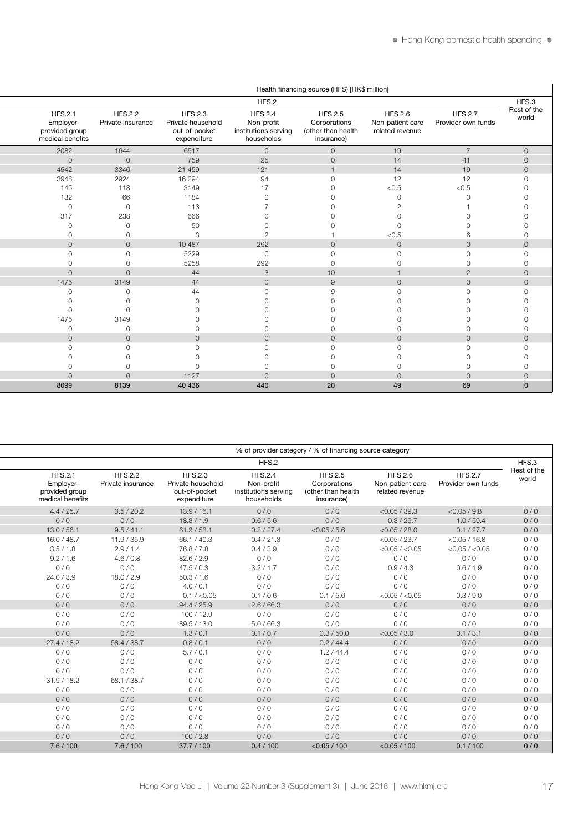| Health financing source (HFS) [HK\$ million]                      |  |                                     |                                                                     |                                                                    |                                                                    |                                                       |                                      |                      |  |  |  |
|-------------------------------------------------------------------|--|-------------------------------------|---------------------------------------------------------------------|--------------------------------------------------------------------|--------------------------------------------------------------------|-------------------------------------------------------|--------------------------------------|----------------------|--|--|--|
|                                                                   |  |                                     |                                                                     | HFS.2                                                              |                                                                    |                                                       |                                      | HFS.3                |  |  |  |
| <b>HFS.2.1</b><br>Employer-<br>provided group<br>medical benefits |  | <b>HFS.2.2</b><br>Private insurance | <b>HFS.2.3</b><br>Private household<br>out-of-pocket<br>expenditure | <b>HFS.2.4</b><br>Non-profit<br>institutions serving<br>households | <b>HFS.2.5</b><br>Corporations<br>(other than health<br>insurance) | <b>HFS 2.6</b><br>Non-patient care<br>related revenue | <b>HFS.2.7</b><br>Provider own funds | Rest of the<br>world |  |  |  |
| 2082                                                              |  | 1644                                | 6517                                                                | $\circ$                                                            | $\Omega$                                                           | 19                                                    | $\overline{7}$                       | $\cap$               |  |  |  |
| $\mathbf{0}$                                                      |  | $\Omega$                            | 759                                                                 | 25                                                                 | $\cap$                                                             | 14                                                    | 41                                   |                      |  |  |  |
| 4542                                                              |  | 3346                                | 21 459                                                              | 121                                                                |                                                                    | 14                                                    | 19                                   |                      |  |  |  |
| 3948                                                              |  | 2924                                | 16 294                                                              | 94                                                                 |                                                                    | 12                                                    | 12                                   |                      |  |  |  |
| 145                                                               |  | 118                                 | 3149                                                                | 17                                                                 |                                                                    | < 0.5                                                 | $<0.5$                               |                      |  |  |  |
| 132                                                               |  | 66                                  | 1184                                                                |                                                                    |                                                                    |                                                       |                                      |                      |  |  |  |
| $\Omega$                                                          |  | $\cap$                              | 113                                                                 |                                                                    |                                                                    |                                                       |                                      |                      |  |  |  |
| 317                                                               |  | 238                                 | 666                                                                 |                                                                    |                                                                    |                                                       |                                      |                      |  |  |  |
|                                                                   |  |                                     | 50                                                                  |                                                                    |                                                                    |                                                       |                                      |                      |  |  |  |
|                                                                   |  |                                     | 3                                                                   | $\sqrt{2}$                                                         |                                                                    | < 0.5                                                 |                                      |                      |  |  |  |
| $\cap$                                                            |  | $\cap$                              | 10 487                                                              | 292                                                                | $\cap$                                                             | $\circ$                                               | $\Omega$                             |                      |  |  |  |
|                                                                   |  |                                     | 5229                                                                | $\circ$                                                            |                                                                    | $\Omega$                                              |                                      |                      |  |  |  |
|                                                                   |  |                                     | 5258                                                                | 292                                                                |                                                                    |                                                       |                                      |                      |  |  |  |
|                                                                   |  |                                     | 44                                                                  | $\mathbf{3}$                                                       | 10                                                                 |                                                       |                                      |                      |  |  |  |
| 1475                                                              |  | 3149                                | 44                                                                  | $\circ$                                                            | $\Omega$                                                           | $\circ$                                               | $\Omega$                             |                      |  |  |  |
|                                                                   |  |                                     | 44                                                                  |                                                                    |                                                                    |                                                       |                                      |                      |  |  |  |
|                                                                   |  |                                     |                                                                     |                                                                    |                                                                    |                                                       |                                      |                      |  |  |  |
|                                                                   |  |                                     |                                                                     |                                                                    |                                                                    |                                                       |                                      |                      |  |  |  |
| 1475                                                              |  | 3149                                |                                                                     |                                                                    |                                                                    |                                                       |                                      |                      |  |  |  |
|                                                                   |  |                                     |                                                                     |                                                                    |                                                                    |                                                       |                                      |                      |  |  |  |
|                                                                   |  | $\cap$                              | $\Omega$                                                            | $\Omega$                                                           | $\cap$                                                             | $\Omega$                                              | $\cap$                               |                      |  |  |  |
|                                                                   |  |                                     | $\cap$                                                              | $\cap$                                                             |                                                                    | $\cap$                                                |                                      |                      |  |  |  |
|                                                                   |  |                                     |                                                                     |                                                                    |                                                                    |                                                       |                                      |                      |  |  |  |
|                                                                   |  |                                     |                                                                     |                                                                    |                                                                    |                                                       |                                      |                      |  |  |  |
|                                                                   |  |                                     | 1127                                                                | $\cap$                                                             | $\cap$                                                             | $\cap$                                                |                                      |                      |  |  |  |
| 8099                                                              |  | 8139                                | 40 436                                                              | 440                                                                | 20                                                                 | 49                                                    | 69                                   |                      |  |  |  |

| % of provider category / % of financing source category      |                                                       |                                                                    |                                                                    |                                                                     |                                     |                                                                   |  |  |  |  |
|--------------------------------------------------------------|-------------------------------------------------------|--------------------------------------------------------------------|--------------------------------------------------------------------|---------------------------------------------------------------------|-------------------------------------|-------------------------------------------------------------------|--|--|--|--|
| HFS.3                                                        | HFS.2                                                 |                                                                    |                                                                    |                                                                     |                                     |                                                                   |  |  |  |  |
| Rest of the<br><b>HFS.2.7</b><br>world<br>Provider own funds | <b>HFS 2.6</b><br>Non-patient care<br>related revenue | <b>HFS.2.5</b><br>Corporations<br>(other than health<br>insurance) | <b>HFS.2.4</b><br>Non-profit<br>institutions serving<br>households | <b>HFS.2.3</b><br>Private household<br>out-of-pocket<br>expenditure | <b>HFS.2.2</b><br>Private insurance | <b>HFS.2.1</b><br>Employer-<br>provided group<br>medical benefits |  |  |  |  |
| 0/0<br>$<$ 0.05 / 9.8                                        | $<$ 0.05 / 39.3                                       | 0/0                                                                | 0/0                                                                | 13.9 / 16.1                                                         | 3.5 / 20.2                          | 4.4 / 25.7                                                        |  |  |  |  |
| 0/0<br>1.0 / 59.4                                            | 0.3 / 29.7                                            | 0/0                                                                | 0.6/5.6                                                            | 18.3 / 1.9                                                          | 0/0                                 | 0/0                                                               |  |  |  |  |
| 0.1 / 27.7<br>0/0                                            | $<$ 0.05 / 28.0                                       | $<$ 0.05 / 5.6                                                     | 0.3 / 27.4                                                         | 61.2 / 53.1                                                         | 9.5 / 41.1                          | 13.0 / 56.1                                                       |  |  |  |  |
| $<$ 0.05 / 16.8<br>0/0                                       | $<$ 0.05 / 23.7                                       | 0/0                                                                | 0.4 / 21.3                                                         | 66.1 / 40.3                                                         | 11.9 / 35.9                         | 16.0 / 48.7                                                       |  |  |  |  |
| 0/0<br>$<$ 0.05 / $<$ 0.05                                   | $<$ 0.05 / $<$ 0.05                                   | 0/0                                                                | 0.4 / 3.9                                                          | 76.8/7.8                                                            | 2.9/1.4                             | 3.5/1.8                                                           |  |  |  |  |
| 0/0<br>0/0                                                   | 0/0                                                   | 0/0                                                                | 0/0                                                                | 82.6 / 2.9                                                          | 4.6 / 0.8                           | 9.2 / 1.6                                                         |  |  |  |  |
| 0.6 / 1.9<br>0/0                                             | 0.9 / 4.3                                             | 0/0                                                                | 3.2 / 1.7                                                          | 47.5 / 0.3                                                          | 0/0                                 | 0/0                                                               |  |  |  |  |
| 0/0<br>0/0                                                   | 0/0                                                   | 0/0                                                                | 0/0                                                                | 50.3 / 1.6                                                          | 18.0 / 2.9                          | 24.0 / 3.9                                                        |  |  |  |  |
| 0/0<br>0/0                                                   | 0/0                                                   | 0/0                                                                | 0/0                                                                | 4.0 / 0.1                                                           | 0/0                                 | 0/0                                                               |  |  |  |  |
| 0/0<br>0.3 / 9.0                                             | $<$ 0.05 / $<$ 0.05                                   | 0.1 / 5.6                                                          | 0.1 / 0.6                                                          | 0.1 / < 0.05                                                        | 0/0                                 | 0/0                                                               |  |  |  |  |
| 0/0<br>0/0                                                   | 0/0                                                   | 0/0                                                                | 2.6/66.3                                                           | 94.4 / 25.9                                                         | 0/0                                 | 0/0                                                               |  |  |  |  |
| 0/0<br>0/0                                                   | 0/0                                                   | 0/0                                                                | 0/0                                                                | 100/12.9                                                            | 0/0                                 | 0/0                                                               |  |  |  |  |
| 0/0<br>0/0                                                   | 0/0                                                   | 0/0                                                                | 5.0 / 66.3                                                         | 89.5 / 13.0                                                         | 0/0                                 | 0/0                                                               |  |  |  |  |
| 0/0<br>0.1 / 3.1                                             | $<$ 0.05 / 3.0                                        | 0.3 / 50.0                                                         | 0.1 / 0.7                                                          | 1.3 / 0.1                                                           | 0/0                                 | 0/0                                                               |  |  |  |  |
| 0/0<br>0/0                                                   | 0/0                                                   | 0.2 / 44.4                                                         | 0/0                                                                | 0.8 / 0.1                                                           | 58.4 / 38.7                         | 27.4 / 18.2                                                       |  |  |  |  |
| 0/0<br>0/0                                                   | 0/0                                                   | 1.2 / 44.4                                                         | 0/0                                                                | 5.7/0.1                                                             | 0/0                                 | 0/0                                                               |  |  |  |  |
| 0/0<br>0/0                                                   | 0/0                                                   | 0/0                                                                | 0/0                                                                | 0/0                                                                 | 0/0                                 | 0/0                                                               |  |  |  |  |
| 0/0<br>0/0                                                   | 0/0                                                   | 0/0                                                                | 0/0                                                                | 0/0                                                                 | 0/0                                 | 0/0                                                               |  |  |  |  |
| 0/0<br>0/0                                                   | 0/0                                                   | 0/0                                                                | 0/0                                                                | 0/0                                                                 | 68.1 / 38.7                         | 31.9 / 18.2                                                       |  |  |  |  |
| 0/0<br>0/0                                                   | 0/0                                                   | 0/0                                                                | 0/0                                                                | 0/0                                                                 | 0/0                                 | 0/0                                                               |  |  |  |  |
| 0/0<br>0/0                                                   | 0/0                                                   | 0/0                                                                | 0/0                                                                | 0/0                                                                 | 0/0                                 | 0/0                                                               |  |  |  |  |
| 0/0<br>0/0                                                   | 0/0                                                   | 0/0                                                                | 0/0                                                                | 0/0                                                                 | 0/0                                 | 0/0                                                               |  |  |  |  |
| 0/0<br>0/0                                                   | 0/0                                                   | 0/0                                                                | 0/0                                                                | 0/0                                                                 | 0/0                                 | 0/0                                                               |  |  |  |  |
| 0/0<br>0/0                                                   | 0/0                                                   | 0/0                                                                | 0/0                                                                | 0/0                                                                 | 0/0                                 | 0/0                                                               |  |  |  |  |
| 0/0<br>0/0                                                   | 0/0                                                   | 0/0                                                                | 0/0                                                                | 100 / 2.8                                                           | 0/0                                 | 0/0                                                               |  |  |  |  |
| 0/0<br>0.1 / 100                                             | $<$ 0.05 / 100                                        | $<$ 0.05 / 100                                                     | 0.4 / 100                                                          | 37.7 / 100                                                          | 7.6 / 100                           | 7.6 / 100                                                         |  |  |  |  |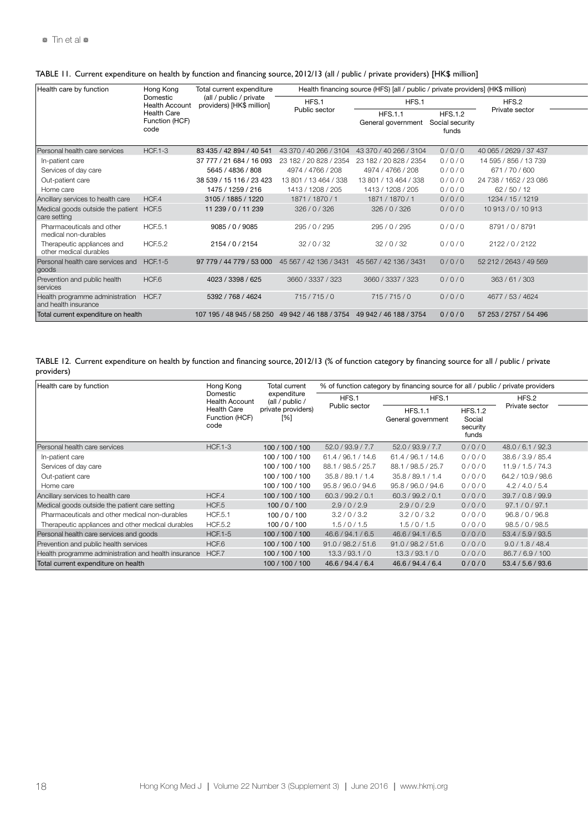| Health care by function                                       | Hong Kong                                    | Total current expenditure                                               | Health financing source (HFS) [all / public / private providers] (HK\$ million) |                                      |                                            |                        |  |  |  |
|---------------------------------------------------------------|----------------------------------------------|-------------------------------------------------------------------------|---------------------------------------------------------------------------------|--------------------------------------|--------------------------------------------|------------------------|--|--|--|
|                                                               | Domestic<br><b>Health Account</b>            | (all / public / private<br>providers) [HK\$ million]                    | HFS.1                                                                           | HFS.1                                |                                            | HFS.2                  |  |  |  |
|                                                               | <b>Health Care</b><br>Function (HCF)<br>code |                                                                         | Public sector                                                                   | <b>HFS.1.1</b><br>General government | <b>HFS.1.2</b><br>Social security<br>funds | Private sector         |  |  |  |
| Personal health care services                                 | <b>HCF.1-3</b>                               | 83 435 / 42 894 / 40 541                                                | 43 370 / 40 266 / 3104                                                          | 43 370 / 40 266 / 3104               | 0/0/0                                      | 40 065 / 2629 / 37 437 |  |  |  |
| In-patient care                                               |                                              | 37 777 / 21 684 / 16 093                                                | 23 182 / 20 828 / 2354                                                          | 23 182 / 20 828 / 2354               | 0/0/0                                      | 14 595 / 856 / 13 739  |  |  |  |
| Services of day care                                          |                                              | 5645 / 4836 / 808                                                       | 4974 / 4766 / 208                                                               | 4974 / 4766 / 208                    | 0/0/0                                      | 671/70/600             |  |  |  |
| Out-patient care                                              |                                              | 38 539 / 15 116 / 23 423                                                | 13 801 / 13 464 / 338                                                           | 13 801 / 13 464 / 338                | 0/0/0                                      | 24 738 / 1652 / 23 086 |  |  |  |
| Home care                                                     |                                              | 1475 / 1259 / 216                                                       | 1413 / 1208 / 205                                                               | 1413 / 1208 / 205                    | 0/0/0                                      | 62/50/12               |  |  |  |
| Ancillary services to health care                             | HCF.4                                        | 3105 / 1885 / 1220                                                      | 1871 / 1870 / 1                                                                 | 1871 / 1870 / 1                      | 0/0/0                                      | 1234 / 15 / 1219       |  |  |  |
| Medical goods outside the patient HCF.5<br>care setting       |                                              | 11 239 / 0 / 11 239                                                     | 326/0/326                                                                       | 326/0/326                            | 0/0/0                                      | 10 913 / 0 / 10 913    |  |  |  |
| Pharmaceuticals and other<br>medical non-durables             | <b>HCF.5.1</b>                               | 9085 / 0 / 9085                                                         | 295 / 0 / 295                                                                   | 295 / 0 / 295                        | 0/0/0                                      | 8791/0/8791            |  |  |  |
| Therapeutic appliances and<br>other medical durables          | <b>HCF.5.2</b>                               | 2154 / 0 / 2154                                                         | 32/0/32                                                                         | 32/0/32                              | 0/0/0                                      | 2122 / 0 / 2122        |  |  |  |
| Personal health care services and<br>goods                    | <b>HCF.1-5</b>                               | 97 779 / 44 779 / 53 000                                                | 45 567 / 42 136 / 3431                                                          | 45 567 / 42 136 / 3431               | 0/0/0                                      | 52 212 / 2643 / 49 569 |  |  |  |
| Prevention and public health<br>services                      | HCF.6                                        | 4023 / 3398 / 625                                                       | 3660 / 3337 / 323                                                               | 3660 / 3337 / 323                    | 0/0/0                                      | 363 / 61 / 303         |  |  |  |
| Health programme administration HCF.7<br>and health insurance |                                              | 5392 / 768 / 4624                                                       | 715/715/0                                                                       | 715/715/0                            | 0/0/0                                      | 4677 / 53 / 4624       |  |  |  |
| Total current expenditure on health                           |                                              | 107 195 / 48 945 / 58 250 49 942 / 46 188 / 3754 49 942 / 46 188 / 3754 |                                                                                 |                                      | 0/0/0                                      | 57 253 / 2757 / 54 496 |  |  |  |

### TABLE 11. Current expenditure on health by function and financing source, 2012/13 (all / public / private providers) [HK\$ million]

TABLE 12. Current expenditure on health by function and financing source, 2012/13 (% of function category by financing source for all / public / private providers)

| Health care by function                              | Hong Kong                             | <b>Total current</b>           | % of function category by financing source for all / public / private providers |                                      |                                               |                    |  |  |
|------------------------------------------------------|---------------------------------------|--------------------------------|---------------------------------------------------------------------------------|--------------------------------------|-----------------------------------------------|--------------------|--|--|
|                                                      | Domestic<br>Health Account            | expenditure<br>(all / public / | HFS.1                                                                           | HFS.1                                |                                               | HFS.2              |  |  |
|                                                      | Health Care<br>Function (HCF)<br>code | private providers)<br>[%]      | Public sector                                                                   | <b>HFS.1.1</b><br>General government | <b>HFS.1.2</b><br>Social<br>security<br>funds | Private sector     |  |  |
| Personal health care services                        | <b>HCF.1-3</b>                        | 100 / 100 / 100                | 52.0 / 93.9 / 7.7                                                               | 52.0 / 93.9 / 7.7                    | 0/0/0                                         | 48.0 / 6.1 / 92.3  |  |  |
| In-patient care                                      |                                       | 100 / 100 / 100                | 61.4 / 96.1 / 14.6                                                              | 61.4 / 96.1 / 14.6                   | 0/0/0                                         | 38.6 / 3.9 / 85.4  |  |  |
| Services of day care                                 |                                       | 100 / 100 / 100                | /98.5/25.7<br>88.1                                                              | 88.1 / 98.5 / 25.7                   | 0/0/0                                         | 11.9 / 1.5 / 74.3  |  |  |
| Out-patient care                                     |                                       | 100 / 100 / 100                | /89.1 / 1.4<br>35.8.                                                            | 35.8 / 89.1 / 1.4                    | 0/0/0                                         | 64.2 / 10.9 / 98.6 |  |  |
| Home care                                            |                                       | 100 / 100 / 100                | 95.8 / 96.0 / 94.6                                                              | 95.8 / 96.0 / 94.6                   | 0/0/0                                         | 4.2 / 4.0 / 5.4    |  |  |
| Ancillary services to health care                    | HCF.4                                 | 100 / 100 / 100                | 60.3 / 99.2 / 0.1                                                               | 60.3 / 99.2 / 0.1                    | 0/0/0                                         | 39.7 / 0.8 / 99.9  |  |  |
| Medical goods outside the patient care setting       | HCF.5                                 | 100/0/100                      | 2.9/0/2.9                                                                       | 2.9/0/2.9                            | 0/0/0                                         | 97.1 / 0 / 97.1    |  |  |
| Pharmaceuticals and other medical non-durables       | <b>HCF.5.1</b>                        | 100/0/100                      | 3.2 / 0 / 3.2                                                                   | 3.2 / 0 / 3.2                        | 0/0/0                                         | 96.8/0/96.8        |  |  |
| Therapeutic appliances and other medical durables    | <b>HCF.5.2</b>                        | 100/0/100                      | 1.5/0/1.5                                                                       | 1.5/0/1.5                            | 0/0/0                                         | 98.5 / 0 / 98.5    |  |  |
| Personal health care services and goods              | <b>HCF.1-5</b>                        | 100 / 100 / 100                | 46.6 / 94.1 / 6.5                                                               | 46.6 / 94.1 / 6.5                    | 0/0/0                                         | 53.4 / 5.9 / 93.5  |  |  |
| Prevention and public health services                | HCF.6                                 | 100 / 100 / 100                | 91.0 / 98.2 / 51.6                                                              | 91.0 / 98.2 / 51.6                   | 0/0/0                                         | 9.0 / 1.8 / 48.4   |  |  |
| Health programme administration and health insurance | HCF.7                                 | 100 / 100 / 100                | 13.3 / 93.1 / 0                                                                 | 13.3 / 93.1 / 0                      | 0/0/0                                         | 86.7/6.9/100       |  |  |
| Total current expenditure on health                  |                                       | 100 / 100 / 100                | 46.6 / 94.4 / 6.4                                                               | 46.6 / 94.4 / 6.4                    | 0/0/0                                         | 53.4 / 5.6 / 93.6  |  |  |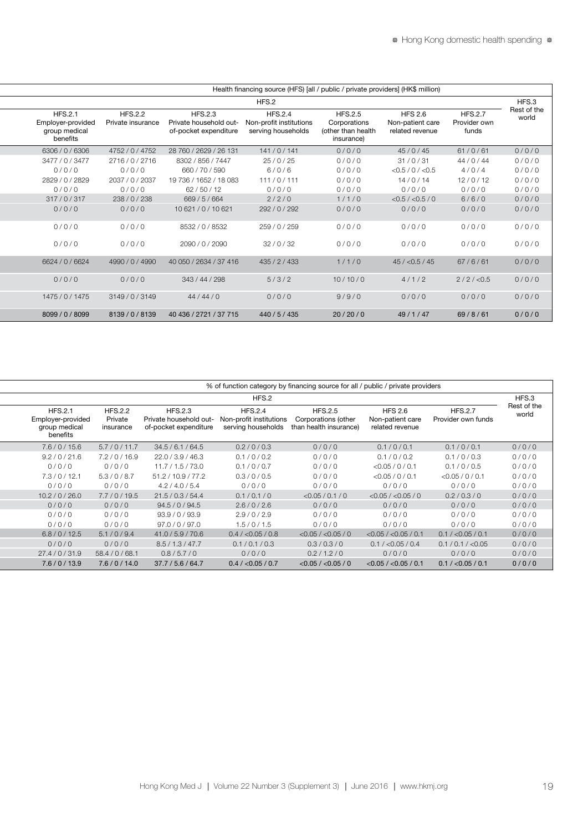| Health financing source (HFS) [all / public / private providers] (HK\$ million)                                          |                                                                    |                                                                 |                                                                   |                                     |                                                                  |  |  |  |  |  |  |
|--------------------------------------------------------------------------------------------------------------------------|--------------------------------------------------------------------|-----------------------------------------------------------------|-------------------------------------------------------------------|-------------------------------------|------------------------------------------------------------------|--|--|--|--|--|--|
| HFS.3                                                                                                                    | HFS.2                                                              |                                                                 |                                                                   |                                     |                                                                  |  |  |  |  |  |  |
| Rest of the<br><b>HFS.2.7</b><br><b>HFS 2.6</b><br>world<br>Provider own<br>Non-patient care<br>funds<br>related revenue | <b>HFS.2.5</b><br>Corporations<br>(other than health<br>insurance) | <b>HFS.2.4</b><br>Non-profit institutions<br>serving households | <b>HFS.2.3</b><br>Private household out-<br>of-pocket expenditure | <b>HFS.2.2</b><br>Private insurance | <b>HFS.2.1</b><br>Employer-provided<br>group medical<br>benefits |  |  |  |  |  |  |
| 61/0/61<br>0/0/0<br>45/0/45                                                                                              | 0/0/0                                                              | 141/0/141                                                       | 28 760 / 2629 / 26 131                                            | 4752 / 0 / 4752                     | 6306 / 0 / 6306                                                  |  |  |  |  |  |  |
| 0/0/0<br>31/0/31<br>44/0/44                                                                                              | 0/0/0                                                              | 25/0/25                                                         | 8302 / 856 / 7447                                                 | 2716/0/2716                         | 3477 / 0 / 3477                                                  |  |  |  |  |  |  |
| $<$ 0.5 / 0 / $<$ 0.5<br>0/0/0<br>4/0/4                                                                                  | 0/0/0                                                              | 6/0/6                                                           | 660 / 70 / 590                                                    | 0/0/0                               | 0/0/0                                                            |  |  |  |  |  |  |
| 14/0/14<br>12/0/12<br>0/0/0                                                                                              | 0/0/0                                                              | 111/0/111                                                       | 19 736 / 1652 / 18 083                                            | 2037 / 0 / 2037                     | 2829 / 0 / 2829                                                  |  |  |  |  |  |  |
| 0/0/0<br>0/0/0<br>0/0/0                                                                                                  | 0/0/0                                                              | 0/0/0                                                           | 62/50/12                                                          | 0/0/0                               | 0/0/0                                                            |  |  |  |  |  |  |
| <0.5 / <0.5 / 0<br>6/6/0<br>0/0/0                                                                                        | 1/1/0                                                              | 2/2/0                                                           | 669 / 5 / 664                                                     | 238/0/238                           | 317/0/317                                                        |  |  |  |  |  |  |
| 0/0/0<br>0/0/0<br>0/0/0                                                                                                  | 0/0/0                                                              | 292/0/292                                                       | 10 621 / 0 / 10 621                                               | 0/0/0                               | 0/0/0                                                            |  |  |  |  |  |  |
| 0/0/0<br>0/0/0<br>0/0/0                                                                                                  | 0/0/0                                                              | 259 / 0 / 259                                                   | 8532 / 0 / 8532                                                   | 0/0/0                               | 0/0/0                                                            |  |  |  |  |  |  |
| 0/0/0<br>0/0/0<br>0/0/0                                                                                                  | 0/0/0                                                              | 32/0/32                                                         | 2090 / 0 / 2090                                                   | 0/0/0                               | 0/0/0                                                            |  |  |  |  |  |  |
| 45 / < 0.5 / 45<br>67/6/61<br>0/0/0                                                                                      | 1/1/0                                                              | 435 / 2 / 433                                                   | 40 050 / 2634 / 37 416                                            | 4990 / 0 / 4990                     | 6624 / 0 / 6624                                                  |  |  |  |  |  |  |
| 0/0/0<br>4/1/2<br>2/2 / < 0.5                                                                                            | 10/10/0                                                            | 5/3/2                                                           | 343 / 44 / 298                                                    | 0/0/0                               | 0/0/0                                                            |  |  |  |  |  |  |
| 0/0/0<br>0/0/0<br>0/0/0                                                                                                  | 9/9/0                                                              | 0/0/0                                                           | 44/44/0                                                           | 3149/0/3149                         | 1475/0/1475                                                      |  |  |  |  |  |  |
| 69/8/61<br>0/0/0<br>49/1/47                                                                                              | 20/20/0                                                            | 440 / 5 / 435                                                   | 40 436 / 2721 / 37 715                                            | 8139/0/8139                         | 8099 / 0 / 8099                                                  |  |  |  |  |  |  |

| % of function category by financing source for all / public / private providers |                                    |                                        |                                                                   |                                                                 |                                                                 |                                                       |                                      |                      |  |  |  |
|---------------------------------------------------------------------------------|------------------------------------|----------------------------------------|-------------------------------------------------------------------|-----------------------------------------------------------------|-----------------------------------------------------------------|-------------------------------------------------------|--------------------------------------|----------------------|--|--|--|
|                                                                                 |                                    | HFS.2<br>HFS.3                         |                                                                   |                                                                 |                                                                 |                                                       |                                      |                      |  |  |  |
| <b>HFS.2.1</b><br>benefits                                                      | Employer-provided<br>group medical | <b>HFS.2.2</b><br>Private<br>insurance | <b>HFS.2.3</b><br>Private household out-<br>of-pocket expenditure | <b>HFS.2.4</b><br>Non-profit institutions<br>serving households | <b>HFS.2.5</b><br>Corporations (other<br>than health insurance) | <b>HFS 2.6</b><br>Non-patient care<br>related revenue | <b>HFS.2.7</b><br>Provider own funds | Rest of the<br>world |  |  |  |
| 7.6 / 0 / 15.6                                                                  |                                    | 5.7/0/11.7                             | 34.5/6.1/64.5                                                     | 0.2 / 0 / 0.3                                                   | 0/0/0                                                           | 0.1 / 0 / 0.1                                         | 0.1 / 0 / 0.1                        | 0/0/0                |  |  |  |
| 9.2 / 0 / 21.6                                                                  |                                    | 7.2/0/16.9                             | 22.0 / 3.9 / 46.3                                                 | 0.1 / 0 / 0.2                                                   | 0/0/0                                                           | 0.1 / 0 / 0.2                                         | 0.1 / 0 / 0.3                        | 0/0/0                |  |  |  |
| 0/0/0                                                                           |                                    | 0/0/0                                  | 11.7 / 1.5 / 73.0                                                 | 0.1 / 0 / 0.7                                                   | 0/0/0                                                           | $<$ 0.05 / 0 / 0.1                                    | 0.1 / 0 / 0.5                        | 0/0/0                |  |  |  |
| 7.3 / 0 / 12.7                                                                  |                                    | 5.3/0/8.7                              | 51.2 / 10.9 / 77.2                                                | 0.3 / 0 / 0.5                                                   | 0/0/0                                                           | $<$ 0.05 / 0 / 0.1                                    | $<$ 0.05 / 0 / 0.1                   | 0/0/0                |  |  |  |
| 0/0/0                                                                           |                                    | 0/0/0                                  | 4.2 / 4.0 / 5.4                                                   | 0/0/0                                                           | 0/0/0                                                           | 0/0/0                                                 | 0/0/0                                | 0/0/0                |  |  |  |
| 10.2 / 0 / 26.0                                                                 |                                    | 7.7/0/19.5                             | 21.5 / 0.3 / 54.4                                                 | 0.1 / 0.1 / 0                                                   | <0.05/0.1/0                                                     | $<$ 0.05 / $<$ 0.05 / 0                               | 0.2 / 0.3 / 0                        | 0/0/0                |  |  |  |
| 0/0/0                                                                           |                                    | 0/0/0                                  | 94.5 / 0 / 94.5                                                   | 2.6/0/2.6                                                       | 0/0/0                                                           | 0/0/0                                                 | 0/0/0                                | 0/0/0                |  |  |  |
| 0/0/0                                                                           |                                    | 0/0/0                                  | 93.9 / 0 / 93.9                                                   | 2.9/0/2.9                                                       | 0/0/0                                                           | 0/0/0                                                 | 0/0/0                                | 0/0/0                |  |  |  |
| 0/0/0                                                                           |                                    | 0/0/0                                  | 97.0 / 0 / 97.0                                                   | 1.5/0/1.5                                                       | 0/0/0                                                           | 0/0/0                                                 | 0/0/0                                | 0/0/0                |  |  |  |
|                                                                                 | 6.8 / 0 / 12.5                     | 5.1/0/9.4                              | 41.0/5.9/70.6                                                     | 0.4 / < 0.05 / 0.8                                              | $<$ 0.05 / $<$ 0.05 / 0                                         | $<$ 0.05 / $<$ 0.05 / 0.1                             | 0.1 / < 0.05 / 0.1                   | 0/0/0                |  |  |  |
| 0/0/0                                                                           |                                    | 0/0/0                                  | 8.5/1.3/47.7                                                      | 0.1 / 0.1 / 0.3                                                 | 0.3/0.3/0                                                       | 0.1 / < 0.05 / 0.4                                    | 0.1 / 0.1 / < 0.05                   | 0/0/0                |  |  |  |
| 27.4/0/31.9                                                                     |                                    | 58.4 / 0 / 68.1                        | 0.8/5.7/0                                                         | 0/0/0                                                           | 0.2 / 1.2 / 0                                                   | 0/0/0                                                 | 0/0/0                                | 0/0/0                |  |  |  |
| 7.6 / 0 / 13.9                                                                  |                                    | 7.6/0/14.0                             | 37.7 / 5.6 / 64.7                                                 | 0.4 / < 0.05 / 0.7                                              | $<$ 0.05 / $<$ 0.05 / 0                                         | $<$ 0.05 / $<$ 0.05 / 0.1                             | 0.1 / < 0.05 / 0.1                   | 0/0/0                |  |  |  |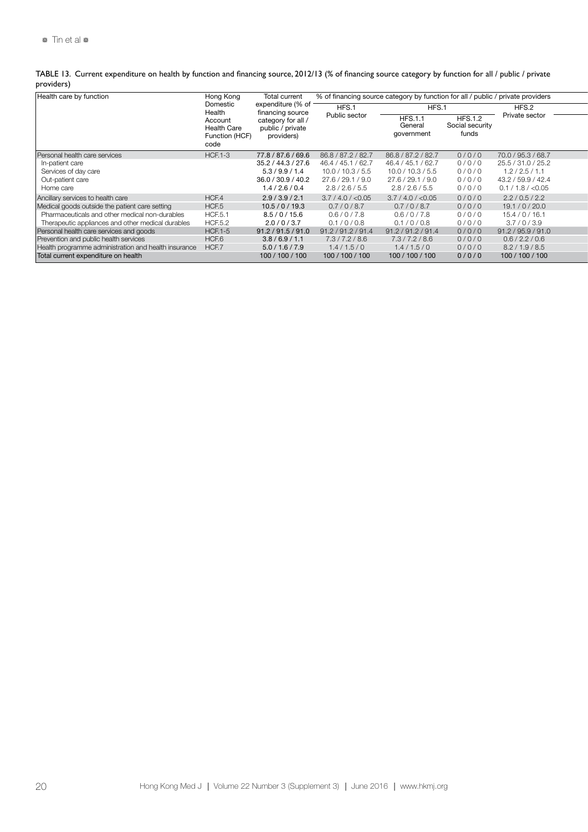|            | TABLE 13. Current expenditure on health by function and financing source, 2012/13 (% of financing source category by function for all / public / private |  |
|------------|----------------------------------------------------------------------------------------------------------------------------------------------------------|--|
| providers) |                                                                                                                                                          |  |

| Health care by function                              | Hong Kong<br>Domestic<br>Health<br>Account<br><b>Health Care</b><br>Function (HCF)<br>code | Total current<br>expenditure (% of<br>financing source<br>category for all<br>public / private<br>providers) | % of financing source category by function for all / public / private providers |                                        |                                            |                    |
|------------------------------------------------------|--------------------------------------------------------------------------------------------|--------------------------------------------------------------------------------------------------------------|---------------------------------------------------------------------------------|----------------------------------------|--------------------------------------------|--------------------|
|                                                      |                                                                                            |                                                                                                              | HFS.1                                                                           | HFS.1                                  |                                            | HFS.2              |
|                                                      |                                                                                            |                                                                                                              | Public sector                                                                   | <b>HFS.1.1</b><br>Genera<br>government | <b>HFS.1.2</b><br>Social security<br>funds | Private sector     |
| Personal health care services                        | <b>HCF.1-3</b>                                                                             | 77.8 / 87.6 / 69.6                                                                                           | / 87.2 / 82.7<br>86.8                                                           | 86.8 / 87.2 / 82.7                     | 0/0/0                                      | 70.0 / 95.3 / 68.7 |
| In-patient care                                      |                                                                                            | 35.2 / 44.3 / 27.6                                                                                           | 46.4 / 45.1 / 62.7                                                              | 46.4 / 45.1 / 62.7                     | 0/0/0                                      | 25.5 / 31.0 / 25.2 |
| Services of day care                                 |                                                                                            | 5.3/9.9/1.4                                                                                                  | 10.0 / 10.3 / 5.5                                                               | 10.0 / 10.3 / 5.5                      | 0/0/0                                      | 1.2 / 2.5 / 1.1    |
| Out-patient care                                     |                                                                                            | 36.0 / 30.9 / 40.2                                                                                           | 27.6/29.1/9.0                                                                   | 27.6 / 29.1 / 9.0                      | 0/0/1                                      | 43.2 / 59.9 / 42.4 |
| Home care                                            |                                                                                            | 1.4 / 2.6 / 0.4                                                                                              | 2.8 / 2.6 / 5.5                                                                 | 2.8 / 2.6 / 5.5                        | 0/0/0                                      | 0.1 / 1.8 / < 0.05 |
| Ancillary services to health care                    | HCF.4                                                                                      | 2.9/3.9/2.1                                                                                                  | 3.7 / 4.0 / < 0.05                                                              | 3.7 / 4.0 / < 0.05                     | 0/0/0                                      | 2.2 / 0.5 / 2.2    |
| Medical goods outside the patient care setting       | HCF.5                                                                                      | 10.5 / 0 / 19.3                                                                                              | 0.7 / 0 / 8.7                                                                   | 0.7/0/8.7                              | 0/0/0                                      | 19.1/0/20.0        |
| Pharmaceuticals and other medical non-durables       | <b>HCF.5.1</b>                                                                             | 8.5/0/15.6                                                                                                   | 0.6/0/7.8                                                                       | 0.6/0/7.8                              | 0/0/0                                      | 15.4 / 0 / 16.1    |
| Therapeutic appliances and other medical durables    | <b>HCF.5.2</b>                                                                             | 2.0 / 0 / 3.7                                                                                                | 0.1 / 0 / 0.8                                                                   | 0.1 / 0 / 0.8                          | 0/0/0                                      | 3.7/0/3.9          |
| Personal health care services and goods              | <b>HCF.1-5</b>                                                                             | 91.2 / 91.5 / 91.0                                                                                           | 91.2 / 91.2 / 91.4                                                              | 91.2 / 91.2 / 91.4                     | 0/0/0                                      | 91.2 / 95.9 / 91.0 |
| Prevention and public health services                | HCF.6                                                                                      | 3.8/6.9/1.1                                                                                                  | 7.3/7.2/8.6                                                                     | 7.3 / 7.2 / 8.6                        | 0/0/0                                      | 0.6 / 2.2 / 0.6    |
| Health programme administration and health insurance | HCF.7                                                                                      | 5.0/1.6/7.9                                                                                                  | 1.4/1.5/0                                                                       | 1.4/1.5/0                              | 0/0/0                                      | 8.2 / 1.9 / 8.5    |
| Total current expenditure on health                  |                                                                                            | 100 / 100 / 100                                                                                              | 100 / 100 / 100                                                                 | 100 / 100 / 100                        | 0/0/0                                      | 100 / 100 / 100    |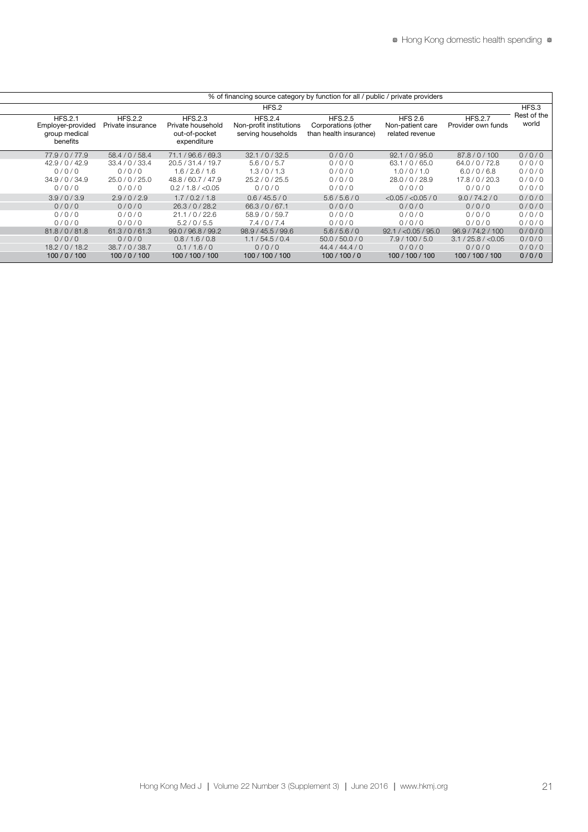| % of financing source category by function for all / public / private providers |                                     |                                                                     |                                                                 |                                                                 |                                                       |                                      |                      |
|---------------------------------------------------------------------------------|-------------------------------------|---------------------------------------------------------------------|-----------------------------------------------------------------|-----------------------------------------------------------------|-------------------------------------------------------|--------------------------------------|----------------------|
|                                                                                 |                                     |                                                                     | HFS.2                                                           |                                                                 |                                                       |                                      | HFS.3                |
| <b>HFS.2.1</b><br>Employer-provided<br>group medical<br>benefits                | <b>HFS.2.2</b><br>Private insurance | <b>HFS.2.3</b><br>Private household<br>out-of-pocket<br>expenditure | <b>HFS.2.4</b><br>Non-profit institutions<br>serving households | <b>HFS.2.5</b><br>Corporations (other<br>than health insurance) | <b>HFS 2.6</b><br>Non-patient care<br>related revenue | <b>HFS.2.7</b><br>Provider own funds | Rest of the<br>world |
| 77.9/0/77.9                                                                     | 58.4 / 0 / 58.4                     | 71.1 / 96.6 / 69.3                                                  | 32.1 / 0 / 32.5                                                 | 0/0/0                                                           | 92.1 / 0 / 95.0                                       | 87.8/0/100                           | 0/0/0                |
| 42.9 / 0 / 42.9                                                                 | 33.4 / 0 / 33.4                     | 20.5 / 31.4 / 19.7                                                  | 5.6/0/5.7                                                       | 0/0/0                                                           | 63.1 / 0 / 65.0                                       | 64.0 / 0 / 72.8                      | 0/0/0                |
| 0/0/0                                                                           | 0/0/0                               | 1.6 / 2.6 / 1.6                                                     | 1.3/0/1.3                                                       | 0/0/0                                                           | 1.0 / 0 / 1.0                                         | 6.0 / 0 / 6.8                        | 0/0/0                |
| 34.9 / 0 / 34.9                                                                 | 25.0 / 0 / 25.0                     | 48.8 / 60.7 / 47.9                                                  | 25.2 / 0 / 25.5                                                 | 0/0/0                                                           | 28.0/0/28.9                                           | 17.8 / 0 / 20.3                      | 0/0/0                |
| 0/0/0                                                                           | 0/0/0                               | 0.2 / 1.8 / < 0.05                                                  | 0/0/0                                                           | 0/0/0                                                           | 0/0/0                                                 | 0/0/0                                | 0/0/0                |
| 3.9/0/3.9                                                                       | 2.9/0/2.9                           | 1.7/0.2/1.8                                                         | 0.6 / 45.5 / 0                                                  | 5.6/5.6/0                                                       | $<$ 0.05 / $<$ 0.05 / 0                               | 9.0 / 74.2 / 0                       | 0/0/0                |
| 0/0/0                                                                           | 0/0/0                               | 26.3 / 0 / 28.2                                                     | 66.3/0/67.1                                                     | 0/0/0                                                           | 0/0/0                                                 | 0/0/0                                | 0/0/0                |
| 0/0/0                                                                           | 0/0/0                               | 21.1 / 0 / 22.6                                                     | 58.9 / 0 / 59.7                                                 | 0/0/0                                                           | 0/0/0                                                 | 0/0/0                                | 0/0/0                |
| 0/0/0                                                                           | 0/0/0                               | 5.2/0/5.5                                                           | 7.4/0/7.4                                                       | 0/0/0                                                           | 0/0/0                                                 | 0/0/0                                | 0/0/0                |
| 81.8/0/81.8                                                                     | 61.3 / 0 / 61.3                     | 99.0 / 96.8 / 99.2                                                  | 98.9 / 45.5 / 99.6                                              | 5.6/5.6/0                                                       | 92.1 / < 0.05 / 95.0                                  | 96.9 / 74.2 / 100                    | 0/0/0                |
| 0/0/0                                                                           | 0/0/0                               | 0.8 / 1.6 / 0.8                                                     | 1.1 / 54.5 / 0.4                                                | 50.0 / 50.0 / 0                                                 | 7.9 / 100 / 5.0                                       | 3.1 / 25.8 / < 0.05                  | 0/0/0                |
| 18.2 / 0 / 18.2                                                                 | 38.7/0/38.7                         | 0.1 / 1.6 / 0                                                       | 0/0/0                                                           | 44.4 / 44.4 / 0                                                 | 0/0/0                                                 | 0/0/0                                | 0/0/0                |
| 100/0/100                                                                       | 100/0/100                           | 100 / 100 / 100                                                     | 100 / 100 / 100                                                 | 100/100/0                                                       | 100 / 100 / 100                                       | 100 / 100 / 100                      | 0/0/0                |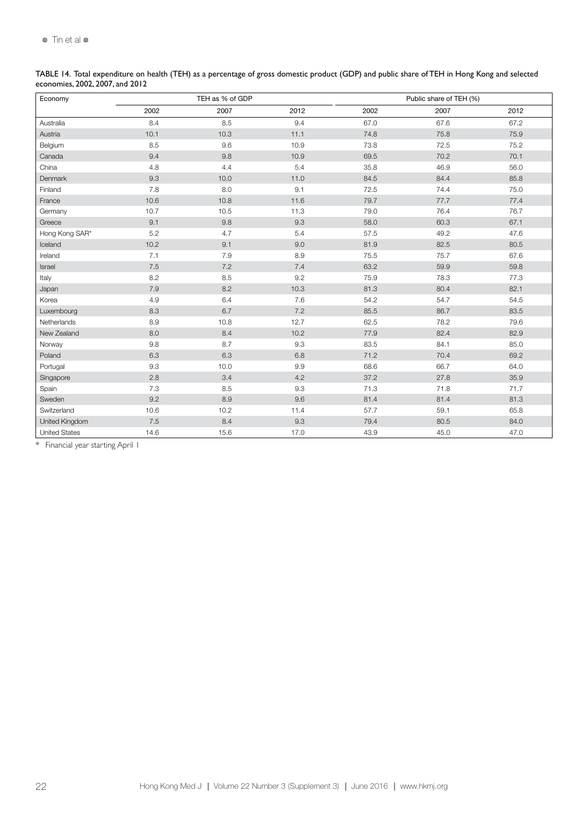|                                 | TABLE 14. Total expenditure on health (TEH) as a percentage of gross domestic product (GDP) and public share of TEH in Hong Kong and selected |  |  |
|---------------------------------|-----------------------------------------------------------------------------------------------------------------------------------------------|--|--|
| economies, 2002, 2007, and 2012 |                                                                                                                                               |  |  |

| Economy              |      | TEH as % of GDP |      |      | Public share of TEH (%) |      |
|----------------------|------|-----------------|------|------|-------------------------|------|
|                      | 2002 | 2007            | 2012 | 2002 | 2007                    | 2012 |
| Australia            | 8.4  | 8.5             | 9.4  | 67.0 | 67.6                    | 67.2 |
| Austria              | 10.1 | 10.3            | 11.1 | 74.8 | 75.8                    | 75.9 |
| Belgium              | 8.5  | 9.6             | 10.9 | 73.8 | 72.5                    | 75.2 |
| Canada               | 9.4  | 9.8             | 10.9 | 69.5 | 70.2                    | 70.1 |
| China                | 4.8  | 4.4             | 5.4  | 35.8 | 46.9                    | 56.0 |
| Denmark              | 9.3  | 10.0            | 11.0 | 84.5 | 84.4                    | 85.8 |
| Finland              | 7.8  | 8.0             | 9.1  | 72.5 | 74.4                    | 75.0 |
| France               | 10.6 | 10.8            | 11.6 | 79.7 | 77.7                    | 77.4 |
| Germany              | 10.7 | 10.5            | 11.3 | 79.0 | 76.4                    | 76.7 |
| Greece               | 9.1  | 9.8             | 9.3  | 58.0 | 60.3                    | 67.1 |
| Hong Kong SAR*       | 5.2  | 4.7             | 5.4  | 57.5 | 49.2                    | 47.6 |
| Iceland              | 10.2 | 9.1             | 9.0  | 81.9 | 82.5                    | 80.5 |
| Ireland              | 7.1  | 7.9             | 8.9  | 75.5 | 75.7                    | 67.6 |
| Israel               | 7.5  | 7.2             | 7.4  | 63.2 | 59.9                    | 59.8 |
| Italy                | 8.2  | 8.5             | 9.2  | 75.9 | 78.3                    | 77.3 |
| Japan                | 7.9  | 8.2             | 10.3 | 81.3 | 80.4                    | 82.1 |
| Korea                | 4.9  | 6.4             | 7.6  | 54.2 | 54.7                    | 54.5 |
| Luxembourg           | 8.3  | 6.7             | 7.2  | 85.5 | 86.7                    | 83.5 |
| Netherlands          | 8.9  | 10.8            | 12.7 | 62.5 | 78.2                    | 79.6 |
| New Zealand          | 8.0  | 8.4             | 10.2 | 77.9 | 82.4                    | 82.9 |
| Norway               | 9.8  | 8.7             | 9.3  | 83.5 | 84.1                    | 85.0 |
| Poland               | 6.3  | 6.3             | 6.8  | 71.2 | 70.4                    | 69.2 |
| Portugal             | 9.3  | 10.0            | 9.9  | 68.6 | 66.7                    | 64.0 |
| Singapore            | 2.8  | 3.4             | 4.2  | 37.2 | 27.8                    | 35.9 |
| Spain                | 7.3  | 8.5             | 9.3  | 71.3 | 71.8                    | 71.7 |
| Sweden               | 9.2  | 8.9             | 9.6  | 81.4 | 81.4                    | 81.3 |
| Switzerland          | 10.6 | 10.2            | 11.4 | 57.7 | 59.1                    | 65.8 |
| United Kingdom       | 7.5  | 8.4             | 9.3  | 79.4 | 80.5                    | 84.0 |
| <b>United States</b> | 14.6 | 15.6            | 17.0 | 43.9 | 45.0                    | 47.0 |

\* Financial year starting April 1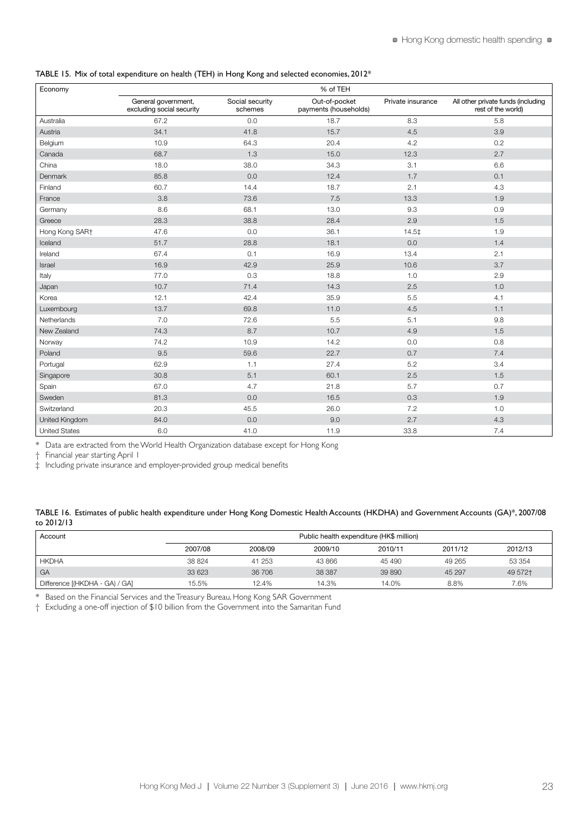#### TABLE 15. Mix of total expenditure on health (TEH) in Hong Kong and selected economies, 2012\*

| Economy              | % of TEH                                         |                            |                                        |                   |                                                          |
|----------------------|--------------------------------------------------|----------------------------|----------------------------------------|-------------------|----------------------------------------------------------|
|                      | General government,<br>excluding social security | Social security<br>schemes | Out-of-pocket<br>payments (households) | Private insurance | All other private funds (including<br>rest of the world) |
| Australia            | 67.2                                             | 0.0                        | 18.7                                   | 8.3               | 5.8                                                      |
| Austria              | 34.1                                             | 41.8                       | 15.7                                   | 4.5               | 3.9                                                      |
| Belgium              | 10.9                                             | 64.3                       | 20.4                                   | 4.2               | 0.2                                                      |
| Canada               | 68.7                                             | 1.3                        | 15.0                                   | 12.3              | 2.7                                                      |
| China                | 18.0                                             | 38.0                       | 34.3                                   | 3.1               | 6.6                                                      |
| Denmark              | 85.8                                             | 0.0                        | 12.4                                   | 1.7               | 0.1                                                      |
| Finland              | 60.7                                             | 14.4                       | 18.7                                   | 2.1               | 4.3                                                      |
| France               | 3.8                                              | 73.6                       | 7.5                                    | 13.3              | 1.9                                                      |
| Germany              | 8.6                                              | 68.1                       | 13.0                                   | 9.3               | 0.9                                                      |
| Greece               | 28.3                                             | 38.8                       | 28.4                                   | 2.9               | 1.5                                                      |
| Hong Kong SAR+       | 47.6                                             | 0.0                        | 36.1                                   | 14.5‡             | 1.9                                                      |
| Iceland              | 51.7                                             | 28.8                       | 18.1                                   | 0.0               | 1.4                                                      |
| Ireland              | 67.4                                             | 0.1                        | 16.9                                   | 13.4              | 2.1                                                      |
| Israel               | 16.9                                             | 42.9                       | 25.9                                   | 10.6              | 3.7                                                      |
| Italy                | 77.0                                             | 0.3                        | 18.8                                   | 1.0               | 2.9                                                      |
| Japan                | 10.7                                             | 71.4                       | 14.3                                   | 2.5               | 1.0                                                      |
| Korea                | 12.1                                             | 42.4                       | 35.9                                   | 5.5               | 4.1                                                      |
| Luxembourg           | 13.7                                             | 69.8                       | 11.0                                   | 4.5               | 1.1                                                      |
| Netherlands          | 7.0                                              | 72.6                       | 5.5                                    | 5.1               | 9.8                                                      |
| New Zealand          | 74.3                                             | 8.7                        | 10.7                                   | 4.9               | 1.5                                                      |
| Norway               | 74.2                                             | 10.9                       | 14.2                                   | 0.0               | 0.8                                                      |
| Poland               | 9.5                                              | 59.6                       | 22.7                                   | 0.7               | 7.4                                                      |
| Portugal             | 62.9                                             | 1.1                        | 27.4                                   | 5.2               | 3.4                                                      |
| Singapore            | 30.8                                             | 5.1                        | 60.1                                   | 2.5               | 1.5                                                      |
| Spain                | 67.0                                             | 4.7                        | 21.8                                   | 5.7               | 0.7                                                      |
| Sweden               | 81.3                                             | 0.0                        | 16.5                                   | 0.3               | 1.9                                                      |
| Switzerland          | 20.3                                             | 45.5                       | 26.0                                   | 7.2               | 1.0                                                      |
| United Kingdom       | 84.0                                             | 0.0                        | 9.0                                    | 2.7               | 4.3                                                      |
| <b>United States</b> | 6.0                                              | 41.0                       | 11.9                                   | 33.8              | 7.4                                                      |

\* Data are extracted from the World Health Organization database except for Hong Kong

† Financial year starting April 1

‡ Including private insurance and employer-provided group medical benefits

#### TABLE 16. Estimates of public health expenditure under Hong Kong Domestic Health Accounts (HKDHA) and Government Accounts (GA)\*, 2007/08 to 2012/13

| Account                        |         | Public health expenditure (HK\$ million) |         |         |         |          |  |  |  |
|--------------------------------|---------|------------------------------------------|---------|---------|---------|----------|--|--|--|
|                                | 2007/08 | 2008/09                                  | 2009/10 | 2010/11 | 2011/12 | 2012/13  |  |  |  |
| <b>HKDHA</b>                   | 38 824  | 41 253                                   | 43 866  | 45 490  | 49 265  | 53 354   |  |  |  |
| GA                             | 33 623  | 36 706                                   | 38 387  | 39 890  | 45 297  | 49 572 + |  |  |  |
| Difference [(HKDHA - GA) / GA] | 15.5%   | 12.4%                                    | 14.3%   | 14.0%   | 8.8%    | 7.6%     |  |  |  |

\* Based on the Financial Services and the Treasury Bureau, Hong Kong SAR Government

† Excluding a one-off injection of \$10 billion from the Government into the Samaritan Fund